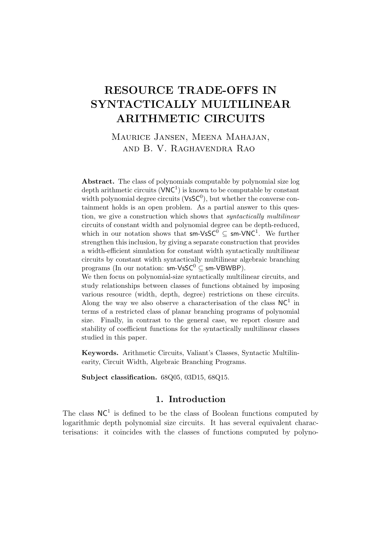# RESOURCE TRADE-OFFS IN SYNTACTICALLY MULTILINEAR ARITHMETIC CIRCUITS

Maurice Jansen, Meena Mahajan, and B. V. Raghavendra Rao

Abstract. The class of polynomials computable by polynomial size log depth arithmetic circuits  $(VNC^1)$  is known to be computable by constant width polynomial degree circuits  $(VSSC^0)$ , but whether the converse containment holds is an open problem. As a partial answer to this question, we give a construction which shows that *syntactically multilinear* circuits of constant width and polynomial degree can be depth-reduced, which in our notation shows that  $sm\text{-}V\text{sSC}^0\subseteq sm\text{-}V\text{NC}^1$ . We further strengthen this inclusion, by giving a separate construction that provides a width-efficient simulation for constant width syntactically multilinear circuits by constant width syntactically multilinear algebraic branching programs (In our notation:  $\mathsf{sm}\text{-}\mathsf{V}\mathsf{s}\mathsf{SC}^0 \subseteq \mathsf{sm}\text{-}\mathsf{V}\mathsf{B}\mathsf{W}\mathsf{B}\mathsf{P}$ ). We then focus on polynomial-size syntactically multilinear circuits, and

study relationships between classes of functions obtained by imposing various resource (width, depth, degree) restrictions on these circuits. Along the way we also observe a characterisation of the class  $NC<sup>1</sup>$  in terms of a restricted class of planar branching programs of polynomial size. Finally, in contrast to the general case, we report closure and stability of coefficient functions for the syntactically multilinear classes studied in this paper.

Keywords. Arithmetic Circuits, Valiant's Classes, Syntactic Multilinearity, Circuit Width, Algebraic Branching Programs.

Subject classification. 68Q05, 03D15, 68Q15.

### 1. Introduction

The class  $NC<sup>1</sup>$  is defined to be the class of Boolean functions computed by logarithmic depth polynomial size circuits. It has several equivalent characterisations: it coincides with the classes of functions computed by polyno-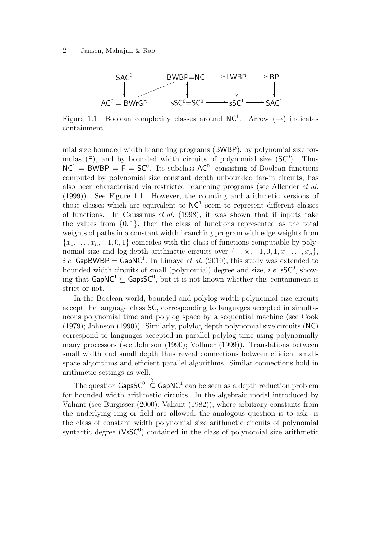

Figure 1.1: Boolean complexity classes around  $NC^1$ . Arrow  $(\rightarrow)$  indicates containment.

mial size bounded width branching programs (BWBP), by polynomial size formulas  $(F)$ , and by bounded width circuits of polynomial size  $(SC^0)$ . Thus  $NC^1 = BWBP = F = SC^0$ . Its subclass  $AC^0$ , consisting of Boolean functions computed by polynomial size constant depth unbounded fan-in circuits, has also been characterised via restricted branching programs (see Allender et al. (1999)). See Figure 1.1. However, the counting and arithmetic versions of those classes which are equivalent to  $NC<sup>1</sup>$  seem to represent different classes of functions. In Caussinus *et al.* (1998), it was shown that if inputs take the values from  $\{0, 1\}$ , then the class of functions represented as the total weights of paths in a constant width branching program with edge weights from  ${x_1, \ldots, x_n, -1, 0, 1}$  coincides with the class of functions computable by polynomial size and log-depth arithmetic circuits over  $\{+, \times, -1, 0, 1, x_1, \ldots, x_n\}$ , *i.e.* GapBWBP = GapNC<sup>1</sup>. In Limaye *et al.* (2010), this study was extended to bounded width circuits of small (polynomial) degree and size, *i.e.*  $\mathsf{sSC}^0$ , showing that  $\mathsf{GapNC^1} \subseteq \mathsf{GapsSC^0},$  but it is not known whether this containment is strict or not.

In the Boolean world, bounded and polylog width polynomial size circuits accept the language class SC, corresponding to languages accepted in simultaneous polynomial time and polylog space by a sequential machine (see Cook (1979); Johnson (1990)). Similarly, polylog depth polynomial size circuits (NC) correspond to languages accepted in parallel polylog time using polynomially many processors (see Johnson (1990); Vollmer (1999)). Translations between small width and small depth thus reveal connections between efficient smallspace algorithms and efficient parallel algorithms. Similar connections hold in arithmetic settings as well.

The question  $\mathsf{GapsSC}^0 \subseteq \mathsf{GapNC}^1$  can be seen as a depth reduction problem for bounded width arithmetic circuits. In the algebraic model introduced by Valiant (see Bürgisser  $(2000)$ ; Valiant  $(1982)$ ), where arbitrary constants from the underlying ring or field are allowed, the analogous question is to ask: is the class of constant width polynomial size arithmetic circuits of polynomial syntactic degree  $(VsSC<sup>0</sup>)$  contained in the class of polynomial size arithmetic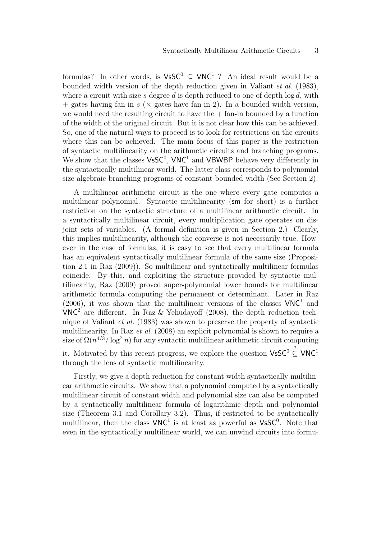formulas? In other words, is  $\mathsf{V}\mathsf{s}\mathsf{SC}^0 \subseteq \mathsf{V}\mathsf{NC}^1$ ? An ideal result would be a bounded width version of the depth reduction given in Valiant et al. (1983), where a circuit with size s degree d is depth-reduced to one of depth  $\log d$ , with  $+$  gates having fan-in s ( $\times$  gates have fan-in 2). In a bounded-width version, we would need the resulting circuit to have the  $+$  fan-in bounded by a function of the width of the original circuit. But it is not clear how this can be achieved. So, one of the natural ways to proceed is to look for restrictions on the circuits where this can be achieved. The main focus of this paper is the restriction of syntactic multilinearity on the arithmetic circuits and branching programs. We show that the classes  $V \text{sSC}^0$ ,  $V \text{NC}^1$  and VBWBP behave very differently in the syntactically multilinear world. The latter class corresponds to polynomial size algebraic branching programs of constant bounded width (See Section 2).

A multilinear arithmetic circuit is the one where every gate computes a multilinear polynomial. Syntactic multilinearity (sm for short) is a further restriction on the syntactic structure of a multilinear arithmetic circuit. In a syntactically multilinear circuit, every multiplication gate operates on disjoint sets of variables. (A formal definition is given in Section 2.) Clearly, this implies multilinearity, although the converse is not necessarily true. However in the case of formulas, it is easy to see that every multilinear formula has an equivalent syntactically multilinear formula of the same size (Proposition 2.1 in Raz (2009)). So multilinear and syntactically multilinear formulas coincide. By this, and exploiting the structure provided by syntactic multilinearity, Raz (2009) proved super-polynomial lower bounds for multilinear arithmetic formula computing the permanent or determinant. Later in Raz  $(2006)$ , it was shown that the multilinear versions of the classes  $VNC<sup>1</sup>$  and  $VNC<sup>2</sup>$  are different. In Raz & Yehudayoff (2008), the depth reduction technique of Valiant et al. (1983) was shown to preserve the property of syntactic multilinearity. In Raz et al. (2008) an explicit polynomial is shown to require a size of  $\Omega(n^{4/3}/\log^2 n)$  for any syntactic multilinear arithmetic circuit computing it. Motivated by this recent progress, we explore the question  $\mathsf{V}\mathsf{s}\mathsf{SC}^0 \subseteq \mathsf{V}\mathsf{NC}^1$ through the lens of syntactic multilinearity.

Firstly, we give a depth reduction for constant width syntactically multilinear arithmetic circuits. We show that a polynomial computed by a syntactically multilinear circuit of constant width and polynomial size can also be computed by a syntactically multilinear formula of logarithmic depth and polynomial size (Theorem 3.1 and Corollary 3.2). Thus, if restricted to be syntactically multilinear, then the class  $VNC<sup>1</sup>$  is at least as powerful as  $VsSC<sup>0</sup>$ . Note that even in the syntactically multilinear world, we can unwind circuits into formu-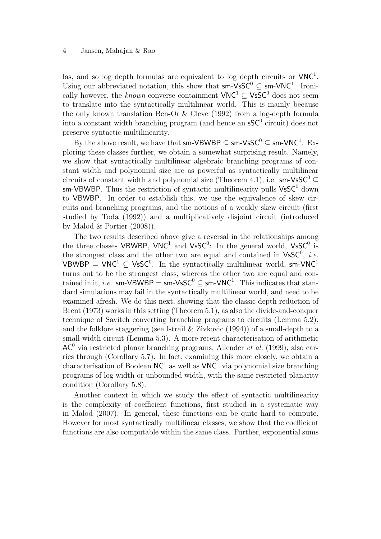las, and so log depth formulas are equivalent to log depth circuits or  $VNC<sup>1</sup>$ . Using our abbreviated notation, this show that  $sm\text{-}VsSC^0 \subseteq sm\text{-}VNC^1$ . Ironically however, the *known* converse containment  $VNC^1 \subseteq VsSC^0$  does not seem to translate into the syntactically multilinear world. This is mainly because the only known translation Ben-Or & Cleve (1992) from a log-depth formula into a constant width branching program (and hence an  $\mathsf{sSC}^0$  circuit) does not preserve syntactic multilinearity.

By the above result, we have that  ${\sf sm\text{-}VBWBP} \subseteq {\sf sm\text{-}VsSC^0} \subseteq {\sf sm\text{-}VNC^1}.$  Exploring these classes further, we obtain a somewhat surprising result. Namely, we show that syntactically multilinear algebraic branching programs of constant width and polynomial size are as powerful as syntactically multilinear circuits of constant width and polynomial size (Theorem 4.1), i.e. sm-VsSC<sup>0</sup>  $\subset$ sm-VBWBP. Thus the restriction of syntactic multilinearity pulls  $\mathsf{V}\mathsf{s}\mathsf{SC}^0$  down to VBWBP. In order to establish this, we use the equivalence of skew circuits and branching programs, and the notions of a weakly skew circuit (first studied by Toda (1992)) and a multiplicatively disjoint circuit (introduced by Malod & Portier (2008)).

The two results described above give a reversal in the relationships among the three classes VBWBP, VNC<sup>1</sup> and VsSC<sup>0</sup>: In the general world, VsSC<sup>0</sup> is the strongest class and the other two are equal and contained in  $V$ s $C^0$ , *i.e.* VBWBP =  $VNC^1 \subseteq VsSC^0$ . In the syntactically multilinear world, sm-VNC<sup>1</sup> turns out to be the strongest class, whereas the other two are equal and contained in it, *i.e.* sm-VBWBP = sm-VsSC<sup>0</sup>  $\subseteq$  sm-VNC<sup>1</sup>. This indicates that standard simulations may fail in the syntactically multilinear world, and need to be examined afresh. We do this next, showing that the classic depth-reduction of Brent (1973) works in this setting (Theorem 5.1), as also the divide-and-conquer technique of Savitch converting branching programs to circuits (Lemma 5.2), and the folklore staggering (see Istrail & Zivkovic (1994)) of a small-depth to a small-width circuit (Lemma 5.3). A more recent characterisation of arithmetic  $AC<sup>0</sup>$  via restricted planar branching programs, Allender *et al.* (1999), also carries through (Corollary 5.7). In fact, examining this more closely, we obtain a characterisation of Boolean  $NC^1$  as well as  $VNC^1$  via polynomial size branching programs of log width or unbounded width, with the same restricted planarity condition (Corollary 5.8).

Another context in which we study the effect of syntactic multilinearity is the complexity of coefficient functions, first studied in a systematic way in Malod (2007). In general, these functions can be quite hard to compute. However for most syntactically multilinear classes, we show that the coefficient functions are also computable within the same class. Further, exponential sums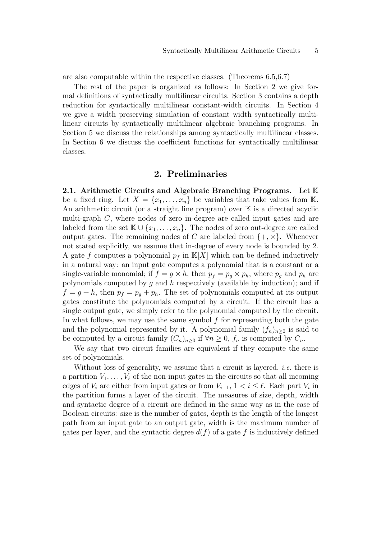are also computable within the respective classes. (Theorems 6.5,6.7)

The rest of the paper is organized as follows: In Section 2 we give formal definitions of syntactically multilinear circuits. Section 3 contains a depth reduction for syntactically multilinear constant-width circuits. In Section 4 we give a width preserving simulation of constant width syntactically multilinear circuits by syntactically multilinear algebraic branching programs. In Section 5 we discuss the relationships among syntactically multilinear classes. In Section 6 we discuss the coefficient functions for syntactically multilinear classes.

#### 2. Preliminaries

2.1. Arithmetic Circuits and Algebraic Branching Programs. Let  $\mathbb K$ be a fixed ring. Let  $X = \{x_1, \ldots, x_n\}$  be variables that take values from K. An arithmetic circuit (or a straight line program) over  $K$  is a directed acyclic multi-graph C, where nodes of zero in-degree are called input gates and are labeled from the set  $\mathbb{K} \cup \{x_1, \ldots, x_n\}$ . The nodes of zero out-degree are called output gates. The remaining nodes of C are labeled from  $\{+, \times\}$ . Whenever not stated explicitly, we assume that in-degree of every node is bounded by 2. A gate f computes a polynomial  $p_f$  in  $\mathbb{K}[X]$  which can be defined inductively in a natural way: an input gate computes a polynomial that is a constant or a single-variable monomial; if  $f = g \times h$ , then  $p_f = p_g \times p_h$ , where  $p_g$  and  $p_h$  are polynomials computed by  $g$  and  $h$  respectively (available by induction); and if  $f = g + h$ , then  $p_f = p_g + p_h$ . The set of polynomials computed at its output gates constitute the polynomials computed by a circuit. If the circuit has a single output gate, we simply refer to the polynomial computed by the circuit. In what follows, we may use the same symbol  $f$  for representing both the gate and the polynomial represented by it. A polynomial family  $(f_n)_{n>0}$  is said to be computed by a circuit family  $(C_n)_{n>0}$  if  $\forall n \geq 0$ ,  $f_n$  is computed by  $C_n$ .

We say that two circuit families are equivalent if they compute the same set of polynomials.

Without loss of generality, we assume that a circuit is layered, *i.e.* there is a partition  $V_1, \ldots, V_\ell$  of the non-input gates in the circuits so that all incoming edges of  $V_i$  are either from input gates or from  $V_{i-1}$ ,  $1 < i \leq \ell$ . Each part  $V_i$  in the partition forms a layer of the circuit. The measures of size, depth, width and syntactic degree of a circuit are defined in the same way as in the case of Boolean circuits: size is the number of gates, depth is the length of the longest path from an input gate to an output gate, width is the maximum number of gates per layer, and the syntactic degree  $d(f)$  of a gate f is inductively defined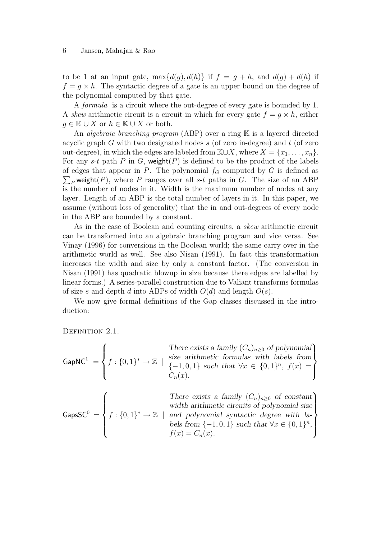#### 6 Jansen, Mahajan & Rao

to be 1 at an input gate,  $\max\{d(g), d(h)\}\$ if  $f = g + h$ , and  $d(g) + d(h)$ if  $f = g \times h$ . The syntactic degree of a gate is an upper bound on the degree of the polynomial computed by that gate.

A formula is a circuit where the out-degree of every gate is bounded by 1. A skew arithmetic circuit is a circuit in which for every gate  $f = g \times h$ , either  $g \in \mathbb{K} \cup X$  or  $h \in \mathbb{K} \cup X$  or both.

An *algebraic branching program* (ABP) over a ring  $K$  is a layered directed acyclic graph  $G$  with two designated nodes  $s$  (of zero in-degree) and  $t$  (of zero out-degree), in which the edges are labeled from  $\mathbb{K}\cup X$ , where  $X = \{x_1, \ldots, x_n\}$ . For any s-t path P in G, weight(P) is defined to be the product of the labels of edges that appear in P. The polynomial  $f_G$  computed by G is defined as  $\sum_{P}$  weight(P), where P ranges over all s-t paths in G. The size of an ABP is the number of nodes in it. Width is the maximum number of nodes at any layer. Length of an ABP is the total number of layers in it. In this paper, we assume (without loss of generality) that the in and out-degrees of every node in the ABP are bounded by a constant.

As in the case of Boolean and counting circuits, a skew arithmetic circuit can be transformed into an algebraic branching program and vice versa. See Vinay (1996) for conversions in the Boolean world; the same carry over in the arithmetic world as well. See also Nisan (1991). In fact this transformation increases the width and size by only a constant factor. (The conversion in Nisan (1991) has quadratic blowup in size because there edges are labelled by linear forms.) A series-parallel construction due to Valiant transforms formulas of size s and depth d into ABPs of width  $O(d)$  and length  $O(s)$ .

We now give formal definitions of the Gap classes discussed in the introduction:

DEFINITION 2.1.

|  | There exists a family $(C_n)_{n\geq 0}$ of polynomial                                                                                                                                                               |
|--|---------------------------------------------------------------------------------------------------------------------------------------------------------------------------------------------------------------------|
|  | GapNC <sup>1</sup> = $\left\{f: \{0,1\}^* \to \mathbb{Z} \mid \begin{matrix} size \ arithmetic \ formulas \ with \ labels \ from \{-1,0,1\} \ such \ that \ \forall x \in \{0,1\}^n, \ f(x) = \end{matrix}\right\}$ |
|  | $C_n(x)$ .                                                                                                                                                                                                          |

 $GapsSC^0 =$  $\sqrt{ }$  $\int$  $\overline{\mathcal{L}}$  $f: \{0,1\}^* \to \mathbb{Z}$  | There exists a family  $(C_n)_{n\geq 0}$  of constant width arithmetic circuits of polynomial size and polynomial syntactic degree with labels from  $\{-1,0,1\}$  such that  $\forall x \in \{0,1\}^n$ ,  $f(x) = C_n(x)$ .  $\mathcal{L}$  $\left\lfloor$  $\int$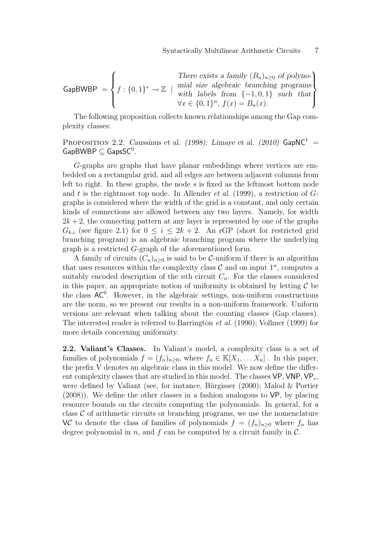**GapBWBP** = 
$$
\begin{cases} \n\text{There exists a family } (B_n)_{n \geq 0} \text{ of polyno-} \\ \nf : \{0,1\}^* \to \mathbb{Z} \mid \text{mind } \text{labels from } \{-1,0,1\} \text{ such that} \\ \forall x \in \{0,1\}^n, \ f(x) = B_n(x). \n\end{cases}
$$

The following proposition collects known relationships among the Gap complexity classes:

PROPOSITION 2.2. Caussinus et al. (1998); Limaye et al. (2010)  $\textsf{GapNC}^1$  =  $\mathsf{GapBWBP} \subseteq \mathsf{GapsSC}^0$ .

G-graphs are graphs that have planar embeddings where vertices are embedded on a rectangular grid, and all edges are between adjacent columns from left to right. In these graphs, the node s is fixed as the leftmost bottom node and t is the rightmost top node. In Allender *et al.* (1999), a restriction of  $G$ graphs is considered where the width of the grid is a constant, and only certain kinds of connections are allowed between any two layers. Namely, for width  $2k + 2$ , the connecting pattern at any layer is represented by one of the graphs  $G_{k,i}$  (see figure 2.1) for  $0 \leq i \leq 2k+2$ . An rGP (short for restricted grid branching program) is an algebraic branching program where the underlying graph is a restricted G-graph of the aforementioned form.

A family of circuits  $(C_n)_{n\geq 0}$  is said to be C-uniform if there is an algorithm that uses resources within the complexity class  $\mathcal C$  and on input  $1^n$ , computes a suitably encoded description of the *n*th circuit  $C_n$ . For the classes considered in this paper, an appropriate notion of uniformity is obtained by letting  $\mathcal C$  be the class  $AC^0$ . However, in the algebraic settings, non-uniform constructions are the norm, so we present our results in a non-uniform framework. Uniform versions are relevant when talking about the counting classes (Gap classes). The interested reader is referred to Barrington et al. (1990); Vollmer (1999) for more details concerning uniformity.

2.2. Valiant's Classes. In Valiant's model, a complexity class is a set of families of polynomials  $f = (f_n)_{n \geq 0}$ , where  $f_n \in \mathbb{K}[X_1, \dots X_n]$ . In this paper, the prefix V denotes an algebraic class in this model. We now define the different complexity classes that are studied in this model. The classes VP, VNP, VP<sub>e</sub>, were defined by Valiant (see, for instance, Bürgisser  $(2000)$ ; Malod & Portier (2008)). We define the other classes in a fashion analogous to VP, by placing resource bounds on the circuits computing the polynomials. In general, for a class  $\mathcal C$  of arithmetic circuits or branching programs, we use the nomenclature VC to denote the class of families of polynomials  $f = (f_n)_{n>0}$  where  $f_n$  has degree polynomial in n, and f can be computed by a circuit family in  $\mathcal{C}$ .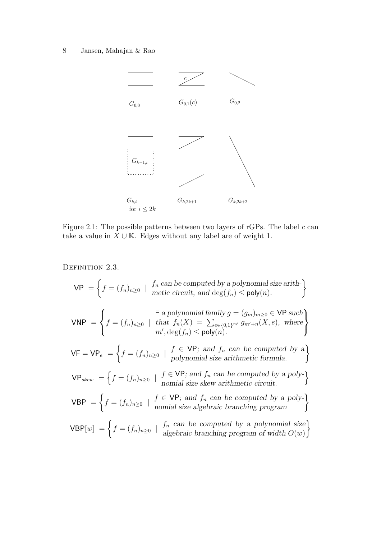# 8 Jansen, Mahajan & Rao



Figure 2.1: The possible patterns between two layers of rGPs. The label  $c$  can take a value in  $X \cup \mathbb{K}$ . Edges without any label are of weight 1.

DEFINITION 2.3.

$$
VP = \left\{ f = (f_n)_{n \ge 0} \mid \begin{array}{l} f_n \text{ can be computed by a polynomial size arith-} \\ \text{metric circuit, and } \deg(f_n) \le \text{poly}(n). \end{array} \right\}
$$
  
\n
$$
VNP = \left\{ f = (f_n)_{n \ge 0} \mid \begin{array}{l} \exists \text{ a polynomial family } g = (g_m)_{m \ge 0} \in VP \text{ such} \\ \text{that } f_n(X) = \sum_{e \in \{0,1\}^{m'}} g_{m'+n}(X,e), \text{ where} \\ m', \deg(f_n) \le \text{poly}(n). \end{array} \right\}
$$
  
\n
$$
VF = VP_e = \left\{ f = (f_n)_{n \ge 0} \mid \begin{array}{l} f \in VP; \text{ and } f_n \text{ can be computed by a} \\ \text{polynomial size arithmetic formula.} \end{array} \right\}
$$
  
\n
$$
VP_{skew} = \left\{ f = (f_n)_{n \ge 0} \mid \begin{array}{l} f \in VP; \text{ and } f_n \text{ can be computed by a poly-} \\ \text{nomial size skew arithmetic circuit.} \end{array} \right\}
$$

VBP = 
$$
\left\{ f = (f_n)_{n \ge 0} \mid \begin{array}{l} f \in \text{VP}; \text{ and } f_n \text{ can be computed by a poly-} \\ \text{nomial size algebraic branching program} \end{array} \right\}
$$

$$
VBP[w] = \left\{ f = (f_n)_{n \ge 0} \mid \begin{array}{c} f_n \text{ can be computed by a polynomial size} \\ \text{algebraic branching program of width } O(w) \end{array} \right\}
$$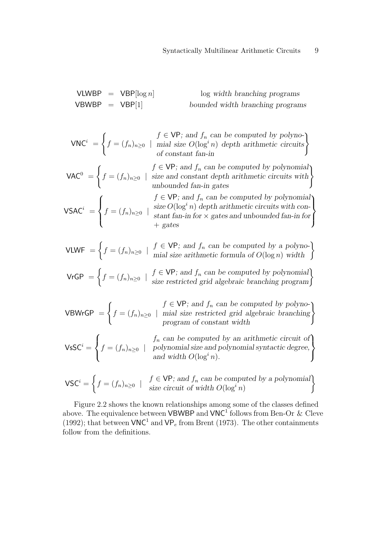VLWBP =  $VBP[log n]$  log width branching programs  $VBWBP = VBP[1]$  bounded width branching programs

$$
\mathsf{VNC}^i = \left\{ f = (f_n)_{n \ge 0} \mid \text{trial size } O(\log^i n) \text{ depth arithmetic circuits} \right\}
$$
  
of constant fan-in

 $VAC^0 =$  $\int$  $f = (f_n)_{n \geq 0}$  |  $f \in VP$ ; and  $f_n$  can be computed by polynomial size and constant depth arithmetic circuits with  $f \in VP$ ; and  $f_n$  can be computed by polynomial<br>size and constant depth arithmetic circuits with<br>unbounded fan-in gates

 $\mathsf{V}\mathsf{S}\mathsf{A}\mathsf{C}^i\ =$ 

 $\sqrt{ }$  $\int$ 

 $\overline{\mathcal{L}}$ 

 $f = (f_n)_{n \geq 0}$  |  $f \in VP$ ; and  $f_n$  can be computed by polynomial size  $O(\log^i n)$  depth arithmetic circuits with constant fan-in for  $\times$  gates and unbounded fan-in for + gates  $\mathcal{L}$  $\overline{\mathcal{L}}$  $\int$ 

$$
\mathsf{VLWF} = \left\{ f = (f_n)_{n \ge 0} \mid \begin{array}{c} f \in \mathsf{VP}; \text{ and } f_n \text{ can be computed by a polyno-} \\ \text{mial size arithmetic formula of } O(\log n) \text{ width} \end{array} \right\}
$$

VrGP = 
$$
\begin{cases} f = (f_n)_{n \ge 0} & | \quad f \in \text{VP; and } f_n \text{ can be computed by polynomial} \\ \text{size restricted grid algebraic branching program} \end{cases}
$$

 $V$ B $W$ r $GP =$  $\int$  $f = (f_n)_{n \geq 0}$  |  $f \in VP$ ; and  $f_n$  can be computed by polynomial size restricted grid algebraic branching  $f \in VP$ ; and  $f_n$  can be computed by polyno-<br>mial size restricted grid algebraic branching<br>program of constant width

 $\mathsf{V}\mathsf{s}\mathsf{SC}^i =$  $\sqrt{ }$  $\left\{\right\}$  $\mathcal{L}$  $f = (f_n)_{n \geq 0}$  |  $f_n$  can be computed by an arithmetic circuit of polynomial size and polynomial syntactic degree, and width  $O(\log^i n)$ . ີ I  $\mathcal{L}$  $\int$ 

$$
\mathsf{VSC}^i = \left\{ f = (f_n)_{n \ge 0} \mid f \in \mathsf{VP}; \text{ and } f_n \text{ can be computed by a polynomial} \right\}
$$
  
size circuit of width  $O(\log^i n)$ 

Figure 2.2 shows the known relationships among some of the classes defined above. The equivalence between **VBWBP** and **VNC<sup>1</sup>** follows from Ben-Or & Cleve (1992); that between  $VNC^1$  and  $VP_e$  from Brent (1973). The other containments follow from the definitions.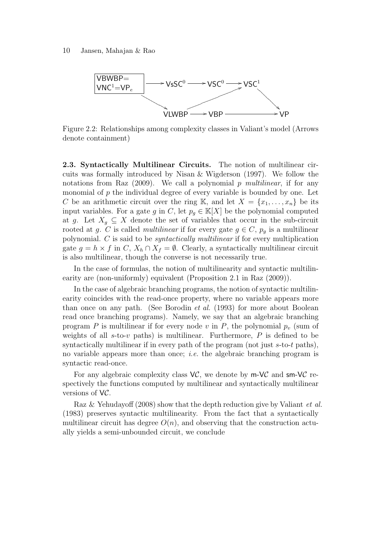

Figure 2.2: Relationships among complexity classes in Valiant's model (Arrows denote containment)

2.3. Syntactically Multilinear Circuits. The notion of multilinear circuits was formally introduced by Nisan & Wigderson (1997). We follow the notations from Raz  $(2009)$ . We call a polynomial p multilinear, if for any monomial of  $p$  the individual degree of every variable is bounded by one. Let C be an arithmetic circuit over the ring K, and let  $X = \{x_1, \ldots, x_n\}$  be its input variables. For a gate g in C, let  $p_q \in K[X]$  be the polynomial computed at g. Let  $X_q \subseteq X$  denote the set of variables that occur in the sub-circuit rooted at g. C is called *multilinear* if for every gate  $g \in C$ ,  $p_q$  is a multilinear polynomial. C is said to be syntactically multilinear if for every multiplication gate  $g = h \times f$  in C,  $X_h \cap X_f = \emptyset$ . Clearly, a syntactically multilinear circuit is also multilinear, though the converse is not necessarily true.

In the case of formulas, the notion of multilinearity and syntactic multilinearity are (non-uniformly) equivalent (Proposition 2.1 in Raz (2009)).

In the case of algebraic branching programs, the notion of syntactic multilinearity coincides with the read-once property, where no variable appears more than once on any path. (See Borodin et al. (1993) for more about Boolean read once branching programs). Namely, we say that an algebraic branching program P is multilinear if for every node v in P, the polynomial  $p_v$  (sum of weights of all  $s$ -to- $v$  paths) is multilinear. Furthermore,  $P$  is defined to be syntactically multilinear if in every path of the program (not just s-to-t paths), no variable appears more than once; *i.e.* the algebraic branching program is syntactic read-once.

For any algebraic complexity class  $VC$ , we denote by  $m-VC$  and  $sm-VC$  respectively the functions computed by multilinear and syntactically multilinear versions of VC.

Raz & Yehudayoff (2008) show that the depth reduction give by Valiant *et al.* (1983) preserves syntactic multilinearity. From the fact that a syntactically multilinear circuit has degree  $O(n)$ , and observing that the construction actually yields a semi-unbounded circuit, we conclude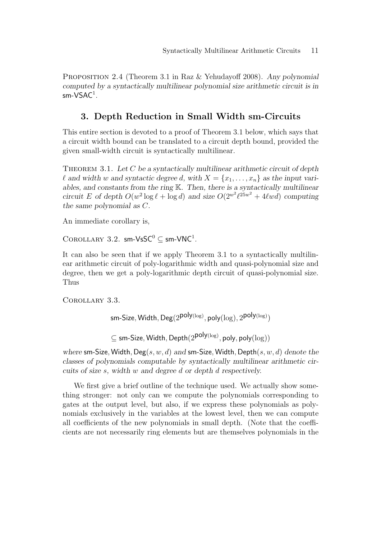PROPOSITION 2.4 (Theorem 3.1 in Raz & Yehudayoff 2008). Any polynomial computed by a syntactically multilinear polynomial size arithmetic circuit is in sm-VSAC $^1$ .

# 3. Depth Reduction in Small Width sm-Circuits

This entire section is devoted to a proof of Theorem 3.1 below, which says that a circuit width bound can be translated to a circuit depth bound, provided the given small-width circuit is syntactically multilinear.

THEOREM 3.1. Let C be a syntactically multilinear arithmetic circuit of depth l and width w and syntactic degree d, with  $X = \{x_1, \ldots, x_n\}$  as the input variables, and constants from the ring K. Then, there is a syntactically multilinear circuit E of depth  $O(w^2 \log \ell + \log d)$  and size  $O(2^{w^2} \ell^{25w^2} + 4\ell w d)$  computing the same polynomial as C.

An immediate corollary is,

COROLLARY 3.2. sm-VsSC<sup>0</sup>  $\subseteq$  sm-VNC<sup>1</sup>.

It can also be seen that if we apply Theorem 3.1 to a syntactically multilinear arithmetic circuit of poly-logarithmic width and quasi-polynomial size and degree, then we get a poly-logarithmic depth circuit of quasi-polynomial size. Thus

Corollary 3.3.

sm-Size, Width,  $\mathsf{Deg}(2^{\mathsf{poly}(\log)},\mathsf{poly}(\log),2^{\mathsf{poly}(\log)})$ 

 $\subseteq$  sm-Size, Width, Depth $(2^{\mathsf{poly}(\log)},\mathsf{poly},\mathsf{poly}(\log))$ 

where sm-Size, Width,  $Deg(s, w, d)$  and sm-Size, Width, Depth $(s, w, d)$  denote the classes of polynomials computable by syntactically multilinear arithmetic circuits of size s, width w and degree d or depth d respectively.

We first give a brief outline of the technique used. We actually show something stronger: not only can we compute the polynomials corresponding to gates at the output level, but also, if we express these polynomials as polynomials exclusively in the variables at the lowest level, then we can compute all coefficients of the new polynomials in small depth. (Note that the coefficients are not necessarily ring elements but are themselves polynomials in the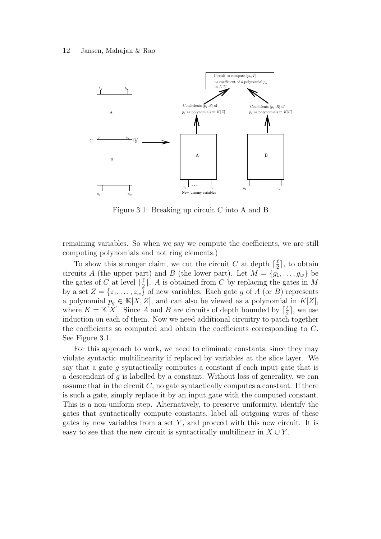

Figure 3.1: Breaking up circuit C into A and B

remaining variables. So when we say we compute the coefficients, we are still computing polynomials and not ring elements.)

To show this stronger claim, we cut the circuit C at depth  $\lceil \frac{\ell}{2} \rceil$  $\frac{\ell}{2}$ , to obtain circuits A (the upper part) and B (the lower part). Let  $M = \{g_1, \ldots, g_w\}$  be the gates of C at level  $\lceil \frac{\ell}{2} \rceil$  $\frac{\ell}{2}$ . A is obtained from C by replacing the gates in M by a set  $Z = \{z_1, \ldots, z_w\}$  of new variables. Each gate g of A (or B) represents a polynomial  $p_q \in K[X, Z]$ , and can also be viewed as a polynomial in  $K[Z]$ , where  $K = \mathbb{K}[X]$ . Since A and B are circuits of depth bounded by  $\lceil \frac{\ell}{2} \rceil$  $\frac{\ell}{2}$ , we use induction on each of them. Now we need additional circuitry to patch together the coefficients so computed and obtain the coefficients corresponding to C. See Figure 3.1.

For this approach to work, we need to eliminate constants, since they may violate syntactic multilinearity if replaced by variables at the slice layer. We say that a gate  $q$  syntactically computes a constant if each input gate that is a descendant of  $q$  is labelled by a constant. Without loss of generality, we can assume that in the circuit  $C$ , no gate syntactically computes a constant. If there is such a gate, simply replace it by an input gate with the computed constant. This is a non-uniform step. Alternatively, to preserve uniformity, identify the gates that syntactically compute constants, label all outgoing wires of these gates by new variables from a set  $Y$ , and proceed with this new circuit. It is easy to see that the new circuit is syntactically multilinear in  $X \cup Y$ .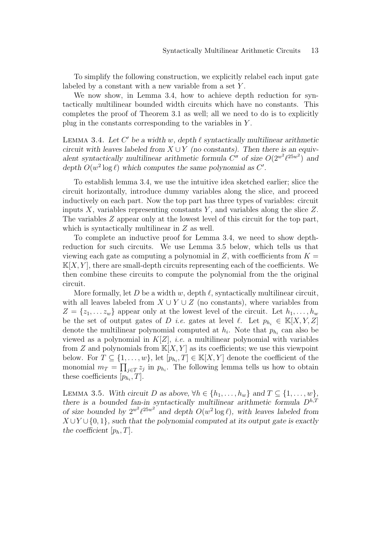To simplify the following construction, we explicitly relabel each input gate labeled by a constant with a new variable from a set Y .

We now show, in Lemma 3.4, how to achieve depth reduction for syntactically multilinear bounded width circuits which have no constants. This completes the proof of Theorem 3.1 as well; all we need to do is to explicitly plug in the constants corresponding to the variables in Y .

LEMMA 3.4. Let  $C'$  be a width w, depth  $\ell$  syntactically multilinear arithmetic circuit with leaves labeled from  $X \cup Y$  (no constants). Then there is an equivalent syntactically multilinear arithmetic formula  $C''$  of size  $O(2^{w^2} \ell^{25w^2})$  and depth  $O(w^2 \log \ell)$  which computes the same polynomial as C'.

To establish lemma 3.4, we use the intuitive idea sketched earlier; slice the circuit horizontally, introduce dummy variables along the slice, and proceed inductively on each part. Now the top part has three types of variables: circuit inputs  $X$ , variables representing constants  $Y$ , and variables along the slice  $Z$ . The variables Z appear only at the lowest level of this circuit for the top part, which is syntactically multilinear in  $Z$  as well.

To complete an inductive proof for Lemma 3.4, we need to show depthreduction for such circuits. We use Lemma 3.5 below, which tells us that viewing each gate as computing a polynomial in Z, with coefficients from  $K =$  $\mathbb{K}[X, Y]$ , there are small-depth circuits representing each of the coefficients. We then combine these circuits to compute the polynomial from the the original circuit.

More formally, let D be a width w, depth  $\ell$ , syntactically multilinear circuit, with all leaves labeled from  $X \cup Y \cup Z$  (no constants), where variables from  $Z = \{z_1, \ldots z_w\}$  appear only at the lowest level of the circuit. Let  $h_1, \ldots, h_w$ be the set of output gates of D *i.e.* gates at level  $\ell$ . Let  $p_{h_i} \in \mathbb{K}[X, Y, Z]$ denote the multilinear polynomial computed at  $h_i$ . Note that  $p_{h_i}$  can also be viewed as a polynomial in  $K[Z]$ , *i.e.* a multilinear polynomial with variables from Z and polynomials from  $\mathbb{K}[X, Y]$  as its coefficients; we use this viewpoint below. For  $T \subseteq \{1, \ldots, w\}$ , let  $[p_{h_i}, T] \in \mathbb{K}[X, Y]$  denote the coefficient of the monomial  $m_T = \prod_{j \in T} z_j$  in  $p_{h_i}$ . The following lemma tells us how to obtain these coefficients  $[p_{h_i}, T]$ .

LEMMA 3.5. With circuit D as above,  $\forall h \in \{h_1, \ldots, h_w\}$  and  $T \subseteq \{1, \ldots, w\}$ , there is a bounded fan-in syntactically multilinear arithmetic formula  $D^{h,T}$ of size bounded by  $2^{w^2}\ell^{25w^2}$  and depth  $O(w^2 \log \ell)$ , with leaves labeled from  $X \cup Y \cup \{0,1\}$ , such that the polynomial computed at its output gate is exactly the coefficient  $[p_h, T]$ .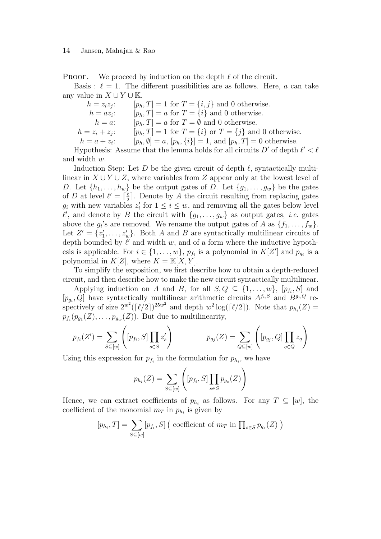**PROOF.** We proceed by induction on the depth  $\ell$  of the circuit.

Basis :  $\ell = 1$ . The different possibilities are as follows. Here, a can take any value in  $X \cup Y \cup \mathbb{K}$ .

 $h = z_i z_j$ :  $[p_h, T] = 1$  for  $T = \{i, j\}$  and 0 otherwise.  $h = az_i$ :  $[p_h, T] = a$  for  $T = \{i\}$  and 0 otherwise.  $h = a:$  [ $p_h, T$ ] = a for  $T = \emptyset$  and 0 otherwise.  $h = z_i + z_j$ :  $[p_h, T] = 1$  for  $T = \{i\}$  or  $T = \{j\}$  and 0 otherwise.  $h = a + z_i$  $[p_h, \emptyset] = a, [p_h, \{i\}] = 1, \text{ and } [p_h, T] = 0 \text{ otherwise.}$ 

Hypothesis: Assume that the lemma holds for all circuits  $D'$  of depth  $\ell' < \ell$ and width w.

Induction Step: Let D be the given circuit of depth  $\ell$ , syntactically multilinear in  $X \cup Y \cup Z$ , where variables from Z appear only at the lowest level of D. Let  $\{h_1, \ldots, h_w\}$  be the output gates of D. Let  $\{g_1, \ldots, g_w\}$  be the gates of D at level  $\ell' = \lceil \frac{\ell}{2} \rceil$  $\frac{\ell}{2}$ . Denote by A the circuit resulting from replacing gates  $g_i$  with new variables  $z'_i$  for  $1 \leq i \leq w$ , and removing all the gates below level  $\ell'$ , and denote by B the circuit with  $\{g_1, \ldots, g_w\}$  as output gates, *i.e.* gates above the  $g_i$ 's are removed. We rename the output gates of A as  $\{f_1, \ldots, f_w\}$ . Let  $Z' = \{z'_1, \ldots, z'_w\}$ . Both A and B are syntactically multilinear circuits of depth bounded by  $\ell'$  and width  $w$ , and of a form where the inductive hypothesis is applicable. For  $i \in \{1, \ldots, w\}$ ,  $p_{f_i}$  is a polynomial in  $K[Z']$  and  $p_{g_i}$  is a polynomial in  $K[Z]$ , where  $K = \mathbb{K}[X, Y]$ .

To simplify the exposition, we first describe how to obtain a depth-reduced circuit, and then describe how to make the new circuit syntactically multilinear.

Applying induction on A and B, for all  $S, Q \subseteq \{1, \ldots, w\}$ ,  $[p_{f_i}, S]$  and  $[p_{g_i}, Q]$  have syntactically multilinear arithmetic circuits  $A^{f_i, S}$  and  $B^{g_i, Q}$  respectively of size  $2^{w^2}(\lceil \ell/2 \rceil)^{25w^2}$  and depth  $w^2 \log(\lceil \ell/2 \rceil)$ . Note that  $p_{h_i}(Z) =$  $p_{f_i}(p_{g_1}(Z), \ldots, p_{g_w}(Z)).$  But due to multilinearity,

$$
p_{f_i}(Z') = \sum_{S \subseteq [w]} \left( [p_{f_i}, S] \prod_{s \in S} z'_s \right) \qquad p_{g_j}(Z) = \sum_{Q \subseteq [w]} \left( [p_{g_j}, Q] \prod_{q \in Q} z_q \right)
$$

Using this expression for  $p_{f_i}$  in the formulation for  $p_{h_i}$ , we have

$$
p_{h_i}(Z) = \sum_{S \subseteq [w]} \left( [p_{f_i}, S] \prod_{s \in S} p_{g_s}(Z) \right)
$$

Hence, we can extract coefficients of  $p_{h_i}$  as follows. For any  $T \subseteq [w]$ , the coefficient of the monomial  $m_T$  in  $p_{h_i}$  is given by

$$
[p_{h_i}, T] = \sum_{S \subseteq [w]} [p_{f_i}, S] \, \big( \text{ coefficient of } m_T \text{ in } \prod_{s \in S} p_{g_s}(Z) \big)
$$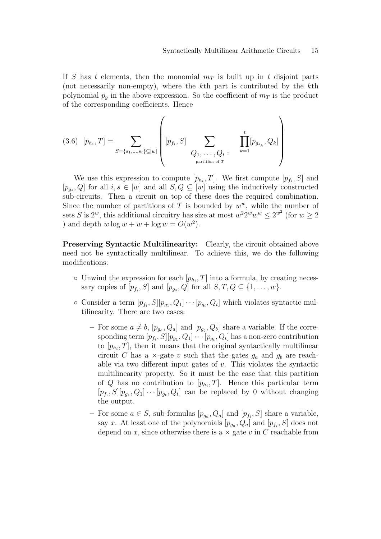If S has t elements, then the monomial  $m<sub>T</sub>$  is built up in t disjoint parts (not necessarily non-empty), where the kth part is contributed by the kth polynomial  $p_q$  in the above expression. So the coefficient of  $m<sub>T</sub>$  is the product of the corresponding coefficients. Hence

(3.6) 
$$
[p_{h_i}, T] = \sum_{S = \{s_1, ..., s_t\} \subseteq [w]} \left( [p_{f_i}, S] \sum_{\substack{Q_1, ..., Q_t \\ \text{partition of } T}} \prod_{k=1}^t [p_{g_{s_k}}, Q_k] \right)
$$

We use this expression to compute  $[p_{h_i}, T]$ . We first compute  $[p_{f_i}, S]$  and  $[p_{g_s}, Q]$  for all  $i, s \in [w]$  and all  $S, Q \subseteq [w]$  using the inductively constructed sub-circuits. Then a circuit on top of these does the required combination. Since the number of partitions of T is bounded by  $w^w$ , while the number of sets S is  $2^w$ , this additional circuitry has size at most  $w^2 2^w w^w \le 2^{w^2}$  (for  $w \ge 2$ ) and depth  $w \log w + w + \log w = O(w^2)$ .

Preserving Syntactic Multilinearity: Clearly, the circuit obtained above need not be syntactically multilinear. To achieve this, we do the following modifications:

- $\circ$  Unwind the expression for each  $[p_{h_i}, T]$  into a formula, by creating necessary copies of  $[p_{f_i}, S]$  and  $[p_{g_s}, Q]$  for all  $S, T, Q \subseteq \{1, \ldots, w\}.$
- $\circ$  Consider a term  $[p_{f_i}, S][p_{g_1}, Q_1] \cdots [p_{g_t}, Q_t]$  which violates syntactic multilinearity. There are two cases:
	- For some  $a \neq b$ ,  $[p_{g_a}, Q_a]$  and  $[p_{g_b}, Q_b]$  share a variable. If the corresponding term  $[p_{f_i}, S][p_{g_1}, Q_1] \cdots [p_{g_t}, Q_t]$  has a non-zero contribution to  $[p_{h_i}, T]$ , then it means that the original syntactically multilinear circuit C has a  $\times$ -gate v such that the gates  $g_a$  and  $g_b$  are reachable via two different input gates of  $v$ . This violates the syntactic multilinearity property. So it must be the case that this partition of Q has no contribution to  $[p_{h_i}, T]$ . Hence this particular term  $[p_{f_i}, S][p_{g_1}, Q_1] \cdots [p_{g_t}, Q_t]$  can be replaced by 0 without changing the output.
	- − For some  $a \in S$ , sub-formulas  $[p_{g_a}, Q_a]$  and  $[p_{f_i}, S]$  share a variable, say x. At least one of the polynomials  $[p_{g_a}, Q_a]$  and  $[p_{f_i}, S]$  does not depend on x, since otherwise there is a  $\times$  gate v in C reachable from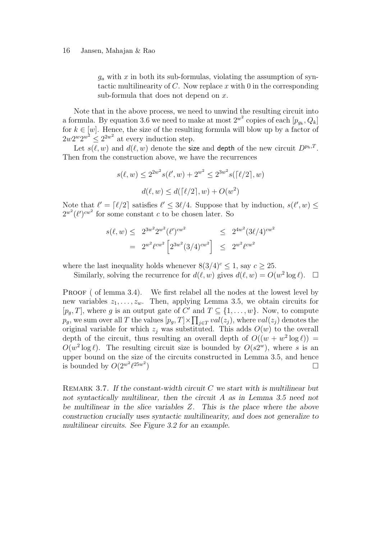$g_a$  with x in both its sub-formulas, violating the assumption of syntactic multilinearity of C. Now replace x with 0 in the corresponding sub-formula that does not depend on  $x$ .

Note that in the above process, we need to unwind the resulting circuit into a formula. By equation 3.6 we need to make at most  $2^{w^2}$  copies of each  $[p_{g_k}, Q_k]$ for  $k \in [w]$ . Hence, the size of the resulting formula will blow up by a factor of  $2w2^w2^{w^2} \leq 2^{2w^2}$  at every induction step.

Let  $s(\ell, w)$  and  $d(\ell, w)$  denote the size and depth of the new circuit  $D^{p_h,T}$ . Then from the construction above, we have the recurrences

$$
s(\ell, w) \le 2^{2w^2} s(\ell', w) + 2^{w^2} \le 2^{3w^2} s(\lceil \ell/2 \rceil, w)
$$

$$
d(\ell, w) \le d(\lceil \ell/2 \rceil, w) + O(w^2)
$$

Note that  $\ell' = \lceil \ell/2 \rceil$  satisfies  $\ell' \leq 3\ell/4$ . Suppose that by induction,  $s(\ell', w) \leq$  $2^{w^2}$ ( $\ell'$ )<sup>cw<sup>2</sup></sup> for some constant c to be chosen later. So

$$
s(\ell, w) \le 2^{3w^2} 2^{w^2} (\ell')^{cw^2} \le 2^{4w^2} (3\ell/4)^{cw^2}
$$
  
=  $2^{w^2} \ell^{cw^2} \left[ 2^{3w^2} (3/4)^{cw^2} \right] \le 2^{w^2} \ell^{cw^2}$ 

where the last inequality holds whenever  $8(3/4)^c \le 1$ , say  $c > 25$ .

Similarly, solving the recurrence for  $d(\ell, w)$  gives  $d(\ell, w) = O(w^2 \log \ell)$ .  $\Box$ 

PROOF ( of lemma 3.4). We first relabel all the nodes at the lowest level by new variables  $z_1, \ldots, z_w$ . Then, applying Lemma 3.5, we obtain circuits for  $[p<sub>g</sub>, T]$ , where g is an output gate of C' and  $T \subseteq \{1, \ldots, w\}$ . Now, to compute  $p_g,$  we sum over all  $T$  the values  $[p_g, T] \times \prod_{j \in T} val(z_j)$ , where  $val(z_j)$  denotes the original variable for which  $z_i$  was substituted. This adds  $O(w)$  to the overall depth of the circuit, thus resulting an overall depth of  $O((w + w^2 \log \ell))$  =  $O(w^2 \log \ell)$ . The resulting circuit size is bounded by  $O(s2^w)$ , where s is an upper bound on the size of the circuits constructed in Lemma 3.5, and hence is bounded by  $O(2^{w^2} \ell^{25w^2})$ ) and the contract of  $\Box$ 

REMARK 3.7. If the constant-width circuit  $C$  we start with is multilinear but not syntactically multilinear, then the circuit A as in Lemma 3.5 need not be multilinear in the slice variables Z. This is the place where the above construction crucially uses syntactic multilinearity, and does not generalize to multilinear circuits. See Figure 3.2 for an example.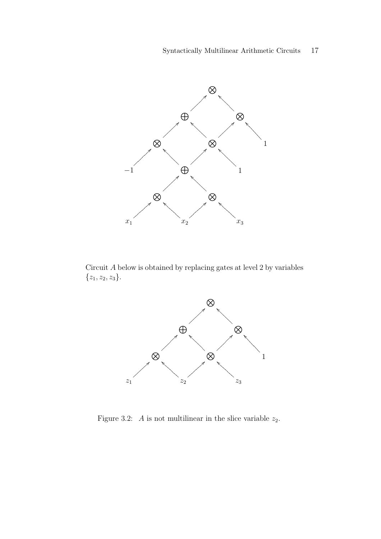

Circuit A below is obtained by replacing gates at level 2 by variables  $\{z_1, z_2, z_3\}.$ 



Figure 3.2: A is not multilinear in the slice variable  $z_2$ .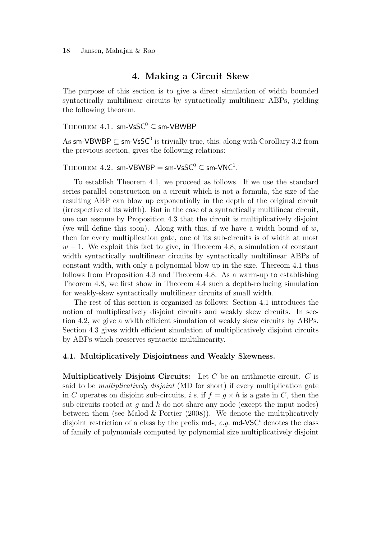#### 18 Jansen, Mahajan & Rao

### 4. Making a Circuit Skew

The purpose of this section is to give a direct simulation of width bounded syntactically multilinear circuits by syntactically multilinear ABPs, yielding the following theorem.

## THEOREM 4.1. sm-VsSC<sup>0</sup>  $\subset$  sm-VBWBP

As sm-VBWBP  $\subseteq$  sm-VsSC<sup>0</sup> is trivially true, this, along with Corollary 3.2 from the previous section, gives the following relations:

# $\text{THEOREM 4.2. sm-VBWBP} = \text{sm-VsSC}^0 \subseteq \text{sm-VNC}^1.$

To establish Theorem 4.1, we proceed as follows. If we use the standard series-parallel construction on a circuit which is not a formula, the size of the resulting ABP can blow up exponentially in the depth of the original circuit (irrespective of its width). But in the case of a syntactically multilinear circuit, one can assume by Proposition 4.3 that the circuit is multiplicatively disjoint (we will define this soon). Along with this, if we have a width bound of  $w$ , then for every multiplication gate, one of its sub-circuits is of width at most  $w-1$ . We exploit this fact to give, in Theorem 4.8, a simulation of constant width syntactically multilinear circuits by syntactically multilinear ABPs of constant width, with only a polynomial blow up in the size. Thereom 4.1 thus follows from Proposition 4.3 and Theorem 4.8. As a warm-up to establishing Theorem 4.8, we first show in Theorem 4.4 such a depth-reducing simulation for weakly-skew syntactically multilinear circuits of small width.

The rest of this section is organized as follows: Section 4.1 introduces the notion of multiplicatively disjoint circuits and weakly skew circuits. In section 4.2, we give a width efficient simulation of weakly skew circuits by ABPs. Section 4.3 gives width efficient simulation of multiplicatively disjoint circuits by ABPs which preserves syntactic multilinearity.

#### 4.1. Multiplicatively Disjointness and Weakly Skewness.

**Multiplicatively Disjoint Circuits:** Let C be an arithmetic circuit. C is said to be *multiplicatively disjoint* (MD for short) if every multiplication gate in C operates on disjoint sub-circuits, *i.e.* if  $f = g \times h$  is a gate in C, then the sub-circuits rooted at  $q$  and  $h$  do not share any node (except the input nodes) between them (see Malod  $&$  Portier (2008)). We denote the multiplicatively disjoint restriction of a class by the prefix  $md$ -, e.g.  $md$ -VSC<sup>i</sup> denotes the class of family of polynomials computed by polynomial size multiplicatively disjoint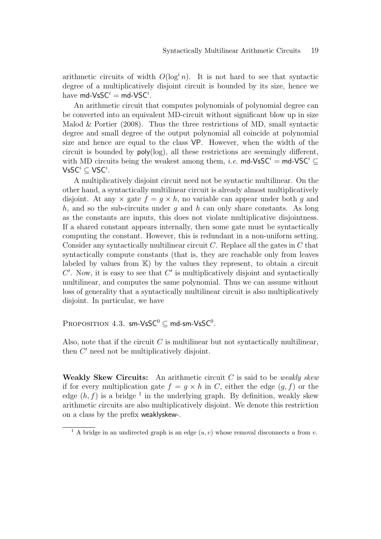arithmetic circuits of width  $O(\log^i n)$ . It is not hard to see that syntactic degree of a multiplicatively disjoint circuit is bounded by its size, hence we have  $\mathsf{md\text{-}VsSC}^i = \mathsf{md\text{-}VSC}^i.$ 

An arithmetic circuit that computes polynomials of polynomial degree can be converted into an equivalent MD-circuit without significant blow up in size Malod & Portier  $(2008)$ . Thus the three restrictions of MD, small syntactic degree and small degree of the output polynomial all coincide at polynomial size and hence are equal to the class VP. However, when the width of the circuit is bounded by poly(log), all these restrictions are seemingly different, with MD circuits being the weakest among them, *i.e.* md-VsSC<sup>*i*</sup> = md-VSC<sup>*i*</sup>  $\subset$  $\mathsf{V}\mathsf{s}\mathsf{SC}^{i} \subseteq \mathsf{V}\mathsf{SC}^{i}.$ 

A multiplicatively disjoint circuit need not be syntactic multilinear. On the other hand, a syntactically multilinear circuit is already almost multiplicatively disjoint. At any  $\times$  gate  $f = g \times h$ , no variable can appear under both q and h, and so the sub-circuits under q and h can only share constants. As long as the constants are inputs, this does not violate multiplicative disjointness. If a shared constant appears internally, then some gate must be syntactically computing the constant. However, this is redundant in a non-uniform setting. Consider any syntactically multilinear circuit  $C$ . Replace all the gates in  $C$  that syntactically compute constants (that is, they are reachable only from leaves labeled by values from  $K$ ) by the values they represent, to obtain a circuit  $C'$ . Now, it is easy to see that  $C'$  is multiplicatively disjoint and syntactically multilinear, and computes the same polynomial. Thus we can assume without loss of generality that a syntactically multilinear circuit is also multiplicatively disjoint. In particular, we have

PROPOSITION 4.3. sm-VsS $C^0 \subseteq$  md-sm-VsS $C^0$ .

Also, note that if the circuit  $C$  is multilinear but not syntactically multilinear, then  $C'$  need not be multiplicatively disjoint.

Weakly Skew Circuits: An arithmetic circuit  $C$  is said to be *weakly skew* if for every multiplication gate  $f = g \times h$  in C, either the edge  $(g, f)$  or the edge  $(h, f)$  is a bridge <sup>1</sup> in the underlying graph. By definition, weakly skew arithmetic circuits are also multiplicatively disjoint. We denote this restriction on a class by the prefix weaklyskew-.

<sup>&</sup>lt;sup>1</sup> A bridge in an undirected graph is an edge  $(u, v)$  whose removal disconnects u from v.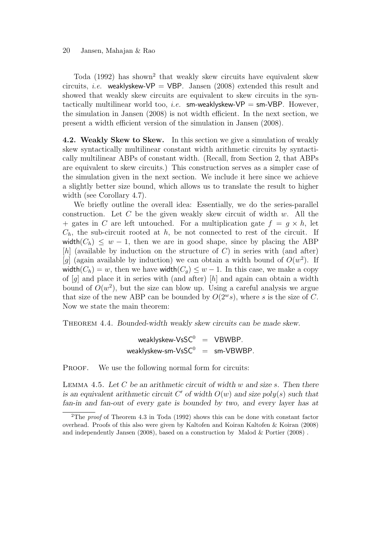Toda (1992) has shown<sup>2</sup> that weakly skew circuits have equivalent skew circuits, *i.e.* weaklyskew-VP = VBP. Jansen (2008) extended this result and showed that weakly skew circuits are equivalent to skew circuits in the syntactically multilinear world too, *i.e.* sm-weaklyskew-VP = sm-VBP. However, the simulation in Jansen (2008) is not width efficient. In the next section, we present a width efficient version of the simulation in Jansen (2008).

4.2. Weakly Skew to Skew. In this section we give a simulation of weakly skew syntactically multilinear constant width arithmetic circuits by syntactically multilinear ABPs of constant width. (Recall, from Section 2, that ABPs are equivalent to skew circuits.) This construction serves as a simpler case of the simulation given in the next section. We include it here since we achieve a slightly better size bound, which allows us to translate the result to higher width (see Corollary 4.7).

We briefly outline the overall idea: Essentially, we do the series-parallel construction. Let  $C$  be the given weakly skew circuit of width  $w$ . All the + gates in C are left untouched. For a multiplication gate  $f = q \times h$ , let  $C_h$ , the sub-circuit rooted at h, be not connected to rest of the circuit. If width $(C_h) \leq w - 1$ , then we are in good shape, since by placing the ABP [h] (available by induction on the structure of  $C$ ) in series with (and after) [g] (again available by induction) we can obtain a width bound of  $O(w^2)$ . If width $(C_h) = w$ , then we have width $(C_q) \leq w - 1$ . In this case, we make a copy of  $[q]$  and place it in series with (and after)  $[h]$  and again can obtain a width bound of  $O(w^2)$ , but the size can blow up. Using a careful analysis we argue that size of the new ABP can be bounded by  $O(2^w s)$ , where s is the size of C. Now we state the main theorem:

THEOREM 4.4. Bounded-width weakly skew circuits can be made skew.

weaklyskew-VsSC<sup>0</sup> = VBWBP. weaklyskew-sm-VsSC<sup>0</sup> = sm-VBWBP.

PROOF. We use the following normal form for circuits:

LEMMA 4.5. Let  $C$  be an arithmetic circuit of width  $w$  and size  $s$ . Then there is an equivalent arithmetic circuit  $C'$  of width  $O(w)$  and size poly(s) such that fan-in and fan-out of every gate is bounded by two, and every layer has at

<sup>2</sup>The *proof* of Theorem 4.3 in Toda (1992) shows this can be done with constant factor overhead. Proofs of this also were given by Kaltofen and Koiran Kaltofen & Koiran (2008) and independently Jansen (2008), based on a construction by Malod  $\&$  Portier (2008).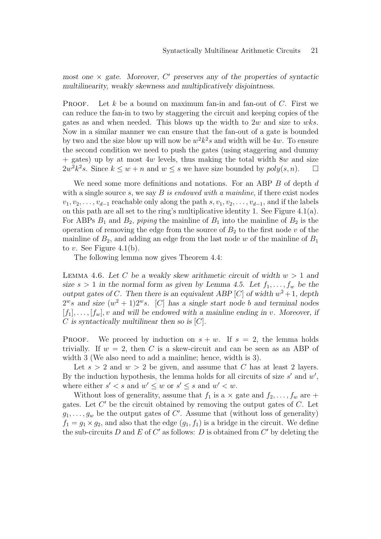most one  $\times$  gate. Moreover,  $C'$  preserves any of the properties of syntactic multilinearity, weakly skewness and multiplicatively disjointness.

**PROOF.** Let k be a bound on maximum fan-in and fan-out of C. First we can reduce the fan-in to two by staggering the circuit and keeping copies of the gates as and when needed. This blows up the width to 2w and size to wks. Now in a similar manner we can ensure that the fan-out of a gate is bounded by two and the size blow up will now be  $w^2k^2s$  and width will be 4w. To ensure the second condition we need to push the gates (using staggering and dummy  $+$  gates) up by at most 4w levels, thus making the total width 8w and size  $2w^2k^2s$ . Since  $k \leq w + n$  and  $w \leq s$  we have size bounded by  $poly(s, n)$ .  $\Box$ 

We need some more definitions and notations. For an ABP B of depth d with a single source s, we say  $B$  is endowed with a mainline, if there exist nodes  $v_1, v_2, \ldots, v_{d-1}$  reachable only along the path  $s, v_1, v_2, \ldots, v_{d-1}$ , and if the labels on this path are all set to the ring's multiplicative identity 1. See Figure 4.1(a). For ABPs  $B_1$  and  $B_2$ , piping the mainline of  $B_1$  into the mainline of  $B_2$  is the operation of removing the edge from the source of  $B_2$  to the first node v of the mainline of  $B_2$ , and adding an edge from the last node w of the mainline of  $B_1$ to v. See Figure 4.1(b).

The following lemma now gives Theorem 4.4:

LEMMA 4.6. Let C be a weakly skew arithmetic circuit of width  $w > 1$  and size  $s > 1$  in the normal form as given by Lemma 4.5. Let  $f_1, \ldots, f_w$  be the output gates of C. Then there is an equivalent ABP [C] of width  $w^2 + 1$ , depth  $2^w s$  and size  $(w^2 + 1)2^w s$ . [C] has a single start node b and terminal nodes  $[f_1], \ldots, [f_w], v$  and will be endowed with a mainline ending in v. Moreover, if C is syntactically multilinear then so is  $[C]$ .

**PROOF.** We proceed by induction on  $s + w$ . If  $s = 2$ , the lemma holds trivially. If  $w = 2$ , then C is a skew-circuit and can be seen as an ABP of width 3 (We also need to add a mainline; hence, width is 3).

Let  $s > 2$  and  $w > 2$  be given, and assume that C has at least 2 layers. By the induction hypothesis, the lemma holds for all circuits of size  $s'$  and  $w'$ , where either  $s' < s$  and  $w' \leq w$  or  $s' \leq s$  and  $w' < w$ .

Without loss of generality, assume that  $f_1$  is a  $\times$  gate and  $f_2, \ldots, f_w$  are  $+$ gates. Let  $C'$  be the circuit obtained by removing the output gates of  $C$ . Let  $g_1, \ldots, g_w$  be the output gates of C'. Assume that (without loss of generality)  $f_1 = g_1 \times g_2$ , and also that the edge  $(g_1, f_1)$  is a bridge in the circuit. We define the sub-circuits  $D$  and  $E$  of  $C'$  as follows:  $D$  is obtained from  $C'$  by deleting the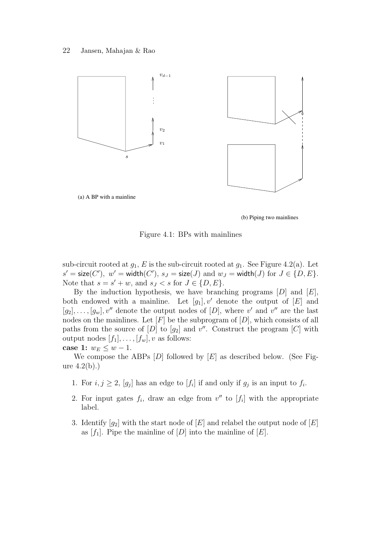

(a) A BP with a mainline

(b) Piping two mainlines

Figure 4.1: BPs with mainlines

sub-circuit rooted at  $g_1$ , E is the sub-circuit rooted at  $g_1$ . See Figure 4.2(a). Let  $s' = \mathsf{size}(C'), \ w' = \mathsf{width}(C'), \ s_J = \mathsf{size}(J) \ \text{and} \ w_J = \mathsf{width}(J) \ \text{for} \ J \in \{D, E\}.$ Note that  $s = s' + w$ , and  $s_J < s$  for  $J \in \{D, E\}$ .

By the induction hypothesis, we have branching programs  $[D]$  and  $[E]$ , both endowed with a mainline. Let  $[g_1], v'$  denote the output of  $[E]$  and  $[g_2], \ldots, [g_w], v''$  denote the output nodes of  $[D]$ , where  $v'$  and  $v''$  are the last nodes on the mainlines. Let  $[F]$  be the subprogram of  $[D]$ , which consists of all paths from the source of  $[D]$  to  $[g_2]$  and  $v''$ . Construct the program  $[C]$  with output nodes  $[f_1], \ldots, [f_w], v$  as follows:

case 1:  $w_E \leq w - 1$ .

We compose the ABPs  $[D]$  followed by  $[E]$  as described below. (See Figure  $4.2(b)$ .)

- 1. For  $i, j \geq 2$ ,  $[g_j]$  has an edge to  $[f_i]$  if and only if  $g_j$  is an input to  $f_i$ .
- 2. For input gates  $f_i$ , draw an edge from  $v''$  to  $[f_i]$  with the appropriate label.
- 3. Identify  $[g_2]$  with the start node of  $[E]$  and relabel the output node of  $[E]$ as  $[f_1]$ . Pipe the mainline of  $[D]$  into the mainline of  $[E]$ .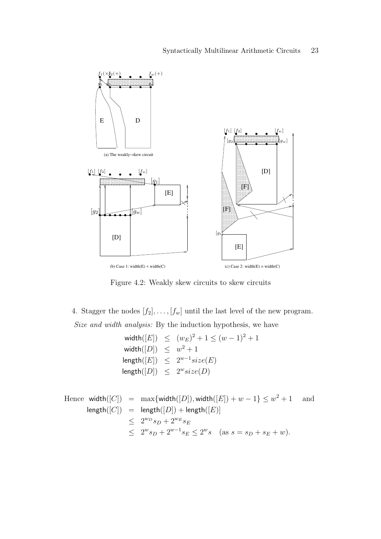

Figure 4.2: Weakly skew circuits to skew circuits

4. Stagger the nodes  $[f_2], \ldots, [f_w]$  until the last level of the new program. Size and width analysis: By the induction hypothesis, we have

$$
\begin{aligned}\n\text{width}([E]) &\leq (w_E)^2 + 1 \leq (w - 1)^2 + 1 \\
\text{width}([D]) &\leq w^2 + 1 \\
\text{length}([E]) &\leq 2^{w-1} size(E) \\
\text{length}([D]) &\leq 2^w size(D)\n\end{aligned}
$$

Hence 
$$
width([C]) = \max\{width([D]), width([E]) + w - 1\} \leq w^2 + 1
$$
 and  $length([C]) = \text{length}([D]) + \text{length}([E])$  $\leq 2^{w_D} s_D + 2^{w_E} s_E$  $\leq 2^{w_D} s_D + 2^{w-1} s_E \leq 2^{w_S}$  (as  $s = s_D + s_E + w$ ).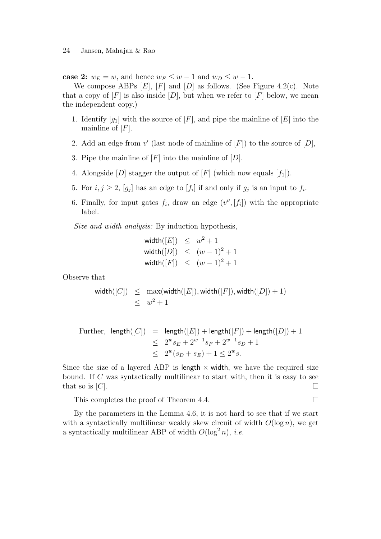case 2:  $w_E = w$ , and hence  $w_F \leq w - 1$  and  $w_D \leq w - 1$ .

We compose ABPs  $[E]$ ,  $[F]$  and  $[D]$  as follows. (See Figure 4.2(c). Note that a copy of  $[F]$  is also inside  $[D]$ , but when we refer to  $[F]$  below, we mean the independent copy.)

- 1. Identify  $[g_1]$  with the source of  $[F]$ , and pipe the mainline of  $[E]$  into the mainline of  $[F]$ .
- 2. Add an edge from  $v'$  (last node of mainline of  $[F]$ ) to the source of  $[D]$ ,
- 3. Pipe the mainline of  $[F]$  into the mainline of  $[D]$ .
- 4. Alongside [D] stagger the output of [F] (which now equals  $[f_1]$ ).
- 5. For  $i, j \geq 2$ ,  $[g_j]$  has an edge to  $[f_i]$  if and only if  $g_j$  is an input to  $f_i$ .
- 6. Finally, for input gates  $f_i$ , draw an edge  $(v'', [f_i])$  with the appropriate label.

Size and width analysis: By induction hypothesis,

$$
\begin{aligned}\n\text{width}([E]) &\leq w^2 + 1 \\
\text{width}([D]) &\leq (w - 1)^2 + 1 \\
\text{width}([F]) &\leq (w - 1)^2 + 1\n\end{aligned}
$$

Observe that

$$
\begin{array}{rcl}\text{width}([C]) & \leq & \max(\text{width}([E]), \text{width}([F]), \text{width}([D]) + 1) \\ & \leq & w^2 + 1\end{array}
$$

Further, length([C]) = length([E]) + length([F]) + length([D]) + 1  
\n
$$
\leq 2^{w}s_{E} + 2^{w-1}s_{F} + 2^{w-1}s_{D} + 1
$$
\n
$$
\leq 2^{w}(s_{D} + s_{E}) + 1 \leq 2^{w}s.
$$

Since the size of a layered ABP is length  $\times$  width, we have the required size bound. If C was syntactically multilinear to start with, then it is easy to see that so is  $[C]$ .

This completes the proof of Theorem 4.4.

By the parameters in the Lemma 4.6, it is not hard to see that if we start with a syntactically multilinear weakly skew circuit of width  $O(\log n)$ , we get a syntactically multilinear ABP of width  $O(\log^2 n)$ , *i.e.*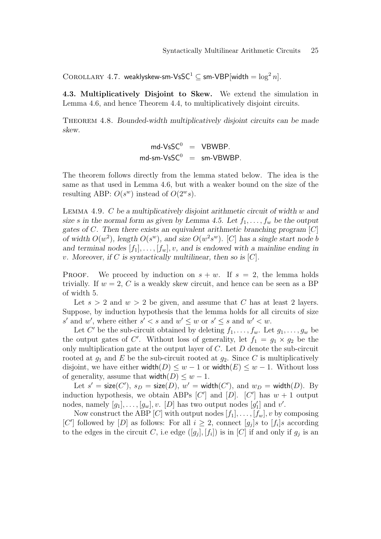COROLLARY 4.7. weaklyskew-sm-VsSC<sup>1</sup>  $\subseteq$  sm-VBP[width  $=$   $\log^2 n$ ].

4.3. Multiplicatively Disjoint to Skew. We extend the simulation in Lemma 4.6, and hence Theorem 4.4, to multiplicatively disjoint circuits.

Theorem 4.8. Bounded-width multiplicatively disjoint circuits can be made skew.

$$
md\text{-}VsSC^0 = VBWBP.
$$
  
md-sm-VsSC<sup>0</sup> = sm-VBWBP.

The theorem follows directly from the lemma stated below. The idea is the same as that used in Lemma 4.6, but with a weaker bound on the size of the resulting ABP:  $O(s^w)$  instead of  $O(2^w s)$ .

LEMMA 4.9. C be a multiplicatively disjoint arithmetic circuit of width w and size s in the normal form as given by Lemma 4.5. Let  $f_1, \ldots, f_w$  be the output gates of  $C$ . Then there exists an equivalent arithmetic branching program  $[C]$ of width  $O(w^2)$ , length  $O(s^w)$ , and size  $O(w^2s^w)$ . [C] has a single start node b and terminal nodes  $[f_1], \ldots, [f_w], v$ , and is endowed with a mainline ending in v. Moreover, if C is syntactically multilinear, then so is  $[C]$ .

**PROOF.** We proceed by induction on  $s + w$ . If  $s = 2$ , the lemma holds trivially. If  $w = 2$ , C is a weakly skew circuit, and hence can be seen as a BP of width 5.

Let  $s > 2$  and  $w > 2$  be given, and assume that C has at least 2 layers. Suppose, by induction hypothesis that the lemma holds for all circuits of size s' and w', where either  $s' < s$  and  $w' \leq w$  or  $s' \leq s$  and  $w' < w$ .

Let C' be the sub-circuit obtained by deleting  $f_1, \ldots, f_w$ . Let  $g_1, \ldots, g_w$  be the output gates of C'. Without loss of generality, let  $f_1 = g_1 \times g_2$  be the only multiplication gate at the output layer of  $C$ . Let  $D$  denote the sub-circuit rooted at  $g_1$  and E be the sub-circuit rooted at  $g_2$ . Since C is multiplicatively disjoint, we have either width $(D) \leq w - 1$  or width $(E) \leq w - 1$ . Without loss of generality, assume that  $width(D) \leq w - 1$ .

Let  $s' = \textsf{size}(C'), s_D = \textsf{size}(D), w' = \textsf{width}(C'), \text{ and } w_D = \textsf{width}(D).$  By induction hypothesis, we obtain ABPs  $[C']$  and  $[D]$ .  $[C']$  has  $w + 1$  output nodes, namely  $[g_1], \ldots, [g_w], v$ . [D] has two output nodes  $[g'_1]$  and  $v'$ .

Now construct the ABP [C] with output nodes  $[f_1], \ldots, [f_w], v$  by composing [C'] followed by [D] as follows: For all  $i \geq 2$ , connect  $[g_j]s$  to  $[f_i]s$  according to the edges in the circuit C, i.e edge  $([g_j], [f_i])$  is in [C] if and only if  $g_j$  is an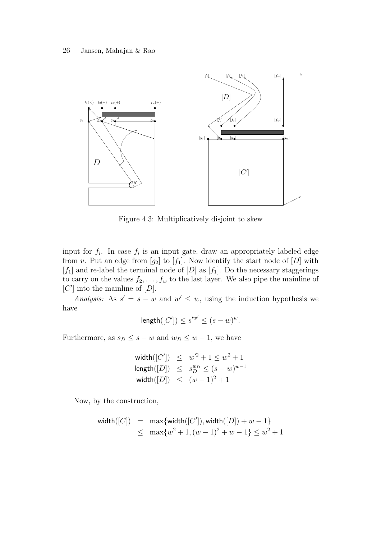

Figure 4.3: Multiplicatively disjoint to skew

input for  $f_i$ . In case  $f_i$  is an input gate, draw an appropriately labeled edge from v. Put an edge from  $[g_2]$  to  $[f_1]$ . Now identify the start node of  $[D]$  with  $[f_1]$  and re-label the terminal node of  $[D]$  as  $[f_1]$ . Do the necessary staggerings to carry on the values  $f_2, \ldots, f_w$  to the last layer. We also pipe the mainline of  $[C']$  into the mainline of  $[D]$ .

Analysis: As  $s' = s - w$  and  $w' \leq w$ , using the induction hypothesis we have

$$
\text{length}([C']) \le s'^{w'} \le (s - w)^w.
$$

Furthermore, as  $s_D \leq s - w$  and  $w_D \leq w - 1$ , we have

$$
\begin{array}{lcl} \mathsf{width}([C']) & \leq & w'^2 + 1 \leq w^2 + 1 \\ \mathsf{length}([D]) & \leq & s_D^{w_D} \leq (s - w)^{w - 1} \\ \mathsf{width}([D]) & \leq & (w - 1)^2 + 1 \end{array}
$$

Now, by the construction,

$$
\begin{array}{rcl}\n\text{width}([C]) & = & \max\{\text{width}([C'], \text{width}([D]) + w - 1\} \\
& \leq & \max\{w^2 + 1, (w - 1)^2 + w - 1\} \leq w^2 + 1\n\end{array}
$$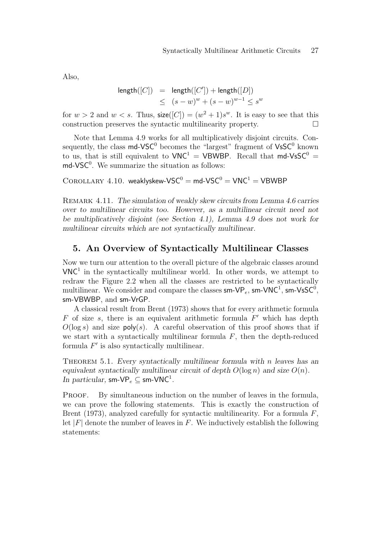Also,

$$
\begin{array}{rcl}\n\mathsf{length}([C]) & = & \mathsf{length}([C']) + \mathsf{length}([D]) \\
& \leq & (s - w)^w + (s - w)^{w - 1} \leq s^w\n\end{array}
$$

for  $w > 2$  and  $w < s$ . Thus,  $size([C]) = (w^2 + 1)s^w$ . It is easy to see that this construction preserves the syntactic multilinearity property.

Note that Lemma 4.9 works for all multiplicatively disjoint circuits. Consequently, the class  $\mathsf{md}\text{-}\mathsf{VSC}^0$  becomes the "largest" fragment of  $\mathsf{V}\mathsf{sSC}^0$  known to us, that is still equivalent to  $VNC^1 = VBWBP$ . Recall that md-VsSC<sup>0</sup> =  $md$ -VSC<sup>0</sup>. We summarize the situation as follows:

 $COROLLARY 4.10. weakly skew-VSC<sup>0</sup> = md-VSC<sup>0</sup> = VNC<sup>1</sup> = VBWBP$ 

REMARK 4.11. The simulation of weakly skew circuits from Lemma 4.6 carries over to multilinear circuits too. However, as a multilinear circuit need not be multiplicatively disjoint (see Section 4.1), Lemma 4.9 does not work for multilinear circuits which are not syntactically multilinear.

### 5. An Overview of Syntactically Multilinear Classes

Now we turn our attention to the overall picture of the algebraic classes around  $VNC<sup>1</sup>$  in the syntactically multilinear world. In other words, we attempt to redraw the Figure 2.2 when all the classes are restricted to be syntactically multilinear. We consider and compare the classes  ${\sf sm}\text{-}{\sf VP}_e,$   ${\sf sm}\text{-}{\sf VNC}^1,$   ${\sf sm}\text{-}{\sf V}\text{s}{\sf SC}^0,$ sm-VBWBP, and sm-VrGP.

A classical result from Brent (1973) shows that for every arithmetic formula  $F$  of size  $s$ , there is an equivalent arithmetic formula  $F'$  which has depth  $O(\log s)$  and size poly(s). A careful observation of this proof shows that if we start with a syntactically multilinear formula  $F$ , then the depth-reduced formula  $F'$  is also syntactically multilinear.

THEOREM 5.1. Every syntactically multilinear formula with  $n$  leaves has an equivalent syntactically multilinear circuit of depth  $O(\log n)$  and size  $O(n)$ . In particular,  $\mathsf{sm}\text{-}\mathsf{VP}_e \subseteq \mathsf{sm}\text{-}\mathsf{VNC}^1$ .

PROOF. By simultaneous induction on the number of leaves in the formula, we can prove the following statements. This is exactly the construction of Brent (1973), analyzed carefully for syntactic multilinearity. For a formula  $F$ , let  $|F|$  denote the number of leaves in F. We inductively establish the following statements: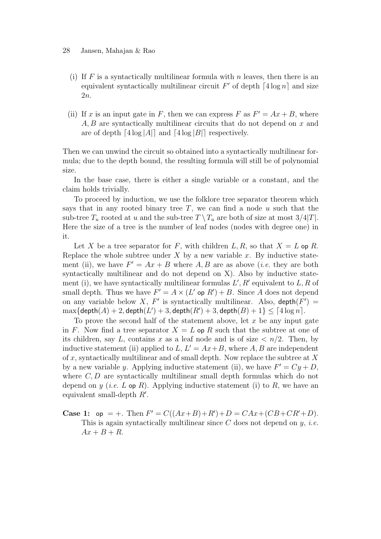#### 28 Jansen, Mahajan & Rao

- (i) If F is a syntactically multilinear formula with n leaves, then there is an equivalent syntactically multilinear circuit  $F'$  of depth  $\lceil 4 \log n \rceil$  and size 2n.
- (ii) If x is an input gate in F, then we can express F as  $F' = Ax + B$ , where  $A, B$  are syntactically multilinear circuits that do not depend on  $x$  and are of depth  $\lceil 4 \log |A| \rceil$  and  $\lceil 4 \log |B| \rceil$  respectively.

Then we can unwind the circuit so obtained into a syntactically multilinear formula; due to the depth bound, the resulting formula will still be of polynomial size.

In the base case, there is either a single variable or a constant, and the claim holds trivially.

To proceed by induction, we use the folklore tree separator theorem which says that in any rooted binary tree  $T$ , we can find a node  $u$  such that the sub-tree  $T_u$  rooted at u and the sub-tree  $T \setminus T_u$  are both of size at most  $3/4|T|$ . Here the size of a tree is the number of leaf nodes (nodes with degree one) in it.

Let X be a tree separator for F, with children  $L, R$ , so that  $X = L$  op R. Replace the whole subtree under  $X$  by a new variable  $x$ . By inductive statement (ii), we have  $F' = Ax + B$  where A, B are as above (*i.e.* they are both syntactically multilinear and do not depend on X). Also by inductive statement (i), we have syntactically multilinear formulas  $L', R'$  equivalent to  $L, R$  of small depth. Thus we have  $F' = A \times (L' \text{ op } R') + B$ . Since A does not depend on any variable below X, F' is syntactically multilinear. Also,  $depth(F') =$  $\max{\{\textsf{depth}(A)+2,\textsf{depth}(L')+3,\textsf{depth}(R')+3,\textsf{depth}(B)+1\}} \leq \lceil 4\log n \rceil.$ 

To prove the second half of the statement above, let  $x$  be any input gate in F. Now find a tree separator  $X = L$  op R such that the subtree at one of its children, say L, contains x as a leaf node and is of size  $\langle n/2 \rangle$ . Then, by inductive statement (ii) applied to  $L, L' = Ax + B$ , where A, B are independent of x, syntactically multilinear and of small depth. Now replace the subtree at  $X$ by a new variable y. Applying inductive statement (ii), we have  $F' = Cy + D$ , where  $C, D$  are syntactically multilinear small depth formulas which do not depend on y (*i.e.* L op R). Applying inductive statement (i) to R, we have an equivalent small-depth  $R'$ .

**Case 1:** op = +. Then  $F' = C((Ax + B) + R') + D = CAx + (CB + CR' + D)$ . This is again syntactically multilinear since  $C$  does not depend on  $y$ , *i.e.*  $Ax + B + R$ .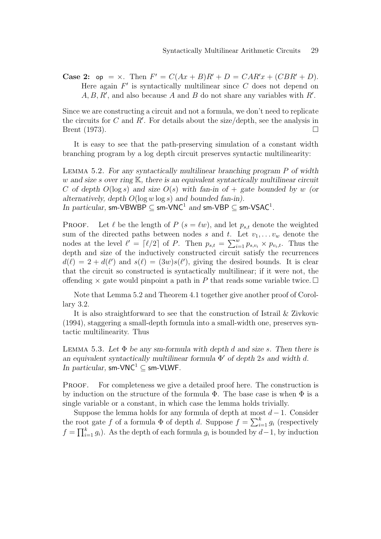**Case 2:** op =  $\times$ . Then  $F' = C(Ax + B)R' + D = CAR'x + (CBR' + D)$ . Here again  $F'$  is syntactically multilinear since  $C$  does not depend on  $A, B, R'$ , and also because A and B do not share any variables with  $R'$ .

Since we are constructing a circuit and not a formula, we don't need to replicate the circuits for  $C$  and  $R'$ . For details about the size/depth, see the analysis in Brent (1973).  $\Box$ 

It is easy to see that the path-preserving simulation of a constant width branching program by a log depth circuit preserves syntactic multilinearity:

Lemma 5.2. For any syntactically multilinear branching program P of width w and size s over ring  $K$ , there is an equivalent syntactically multilinear circuit C of depth  $O(\log s)$  and size  $O(s)$  with fan-in of  $+$  gate bounded by w (or alternatively, depth  $O(\log w \log s)$  and bounded fan-in). In particular, sm-VBWBP  $\subseteq$  sm-VNC<sup>1</sup> and sm-VBP  $\subseteq$  sm-VSAC<sup>1</sup>.

**PROOF.** Let  $\ell$  be the length of  $P$  ( $s = \ell w$ ), and let  $p_{s,t}$  denote the weighted sum of the directed paths between nodes s and t. Let  $v_1, \ldots v_w$  denote the nodes at the level  $\ell' = \lceil \ell/2 \rceil$  of P. Then  $p_{s,t} = \sum_{i=1}^{w} p_{s,v_i} \times p_{v_i,t}$ . Thus the depth and size of the inductively constructed circuit satisfy the recurrences  $d(\ell) = 2 + d(\ell')$  and  $s(\ell) = (3w)s(\ell')$ , giving the desired bounds. It is clear that the circuit so constructed is syntactically multilinear; if it were not, the offending  $\times$  gate would pinpoint a path in P that reads some variable twice.  $\Box$ 

Note that Lemma 5.2 and Theorem 4.1 together give another proof of Corollary 3.2.

It is also straightforward to see that the construction of Istrail & Zivkovic (1994), staggering a small-depth formula into a small-width one, preserves syntactic multilinearity. Thus

LEMMA 5.3. Let  $\Phi$  be any sm-formula with depth d and size s. Then there is an equivalent syntactically multilinear formula  $\Phi'$  of depth 2s and width d. In particular, sm-VNC<sup>1</sup>  $\subset$  sm-VLWF.

PROOF. For completeness we give a detailed proof here. The construction is by induction on the structure of the formula  $\Phi$ . The base case is when  $\Phi$  is a single variable or a constant, in which case the lemma holds trivially.

Suppose the lemma holds for any formula of depth at most  $d-1$ . Consider the root gate f of a formula  $\Phi$  of depth d. Suppose  $f = \sum_{i=1}^{k} g_i$  (respectively  $f = \prod_{i=1}^{k} g_i$ . As the depth of each formula  $g_i$  is bounded by  $d-1$ , by induction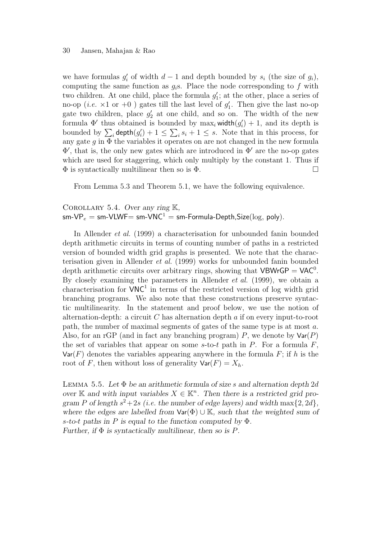#### 30 Jansen, Mahajan & Rao

we have formulas  $g'_i$  of width  $d-1$  and depth bounded by  $s_i$  (the size of  $g_i$ ), computing the same function as  $g_i$ s. Place the node corresponding to f with two children. At one child, place the formula  $g'_1$ ; at the other, place a series of no-op (*i.e.*  $\times 1$  or  $+0$ ) gates till the last level of  $g'_1$ . Then give the last no-op gate two children, place  $g'_2$  at one child, and so on. The width of the new formula  $\Phi'$  thus obtained is bounded by  $\max_i \text{width}(g'_i) + 1$ , and its depth is bounded by  $\sum_i$  depth $(g'_i) + 1 \leq \sum_i s_i + 1 \leq s$ . Note that in this process, for any gate  $g$  in  $\Phi$  the variables it operates on are not changed in the new formula  $\Phi'$ , that is, the only new gates which are introduced in  $\Phi'$  are the no-op gates which are used for staggering, which only multiply by the constant 1. Thus if  $\Phi$  is syntactically multilinear then so is  $\Phi$ .

From Lemma 5.3 and Theorem 5.1, we have the following equivalence.

#### COROLLARY 5.4. Over any ring  $K$ ,

 $sm\text{-}VP_e = sm\text{-}V\text{LWF} = sm\text{-}V\text{NC}^1 = sm\text{-}Formula\text{-}Depth, Size(log, poly).$ 

In Allender et al. (1999) a characterisation for unbounded fanin bounded depth arithmetic circuits in terms of counting number of paths in a restricted version of bounded width grid graphs is presented. We note that the characterisation given in Allender et al. (1999) works for unbounded fanin bounded depth arithmetic circuits over arbitrary rings, showing that  $VBWrGP = VAC^0$ . By closely examining the parameters in Allender et al. (1999), we obtain a characterisation for  $VNC<sup>1</sup>$  in terms of the restricted version of log width grid branching programs. We also note that these constructions preserve syntactic multilinearity. In the statement and proof below, we use the notion of alternation-depth: a circuit  $C$  has alternation depth  $a$  if on every input-to-root path, the number of maximal segments of gates of the same type is at most a. Also, for an rGP (and in fact any branching program) P, we denote by  $\text{Var}(P)$ the set of variables that appear on some  $s$ -to-t path in P. For a formula  $F$ ,  $Var(F)$  denotes the variables appearing anywhere in the formula F; if h is the root of F, then without loss of generality  $\text{Var}(F) = X_h$ .

LEMMA 5.5. Let  $\Phi$  be an arithmetic formula of size s and alternation depth 2d over K and with input variables  $X \in \mathbb{K}^n$ . Then there is a restricted grid program P of length  $s^2+2s$  (i.e. the number of edge layers) and width  $\max\{2, 2d\}$ , where the edges are labelled from  $\text{Var}(\Phi) \cup \mathbb{K}$ , such that the weighted sum of s-to-t paths in P is equal to the function computed by  $\Phi$ . Further, if  $\Phi$  is syntactically multilinear, then so is P.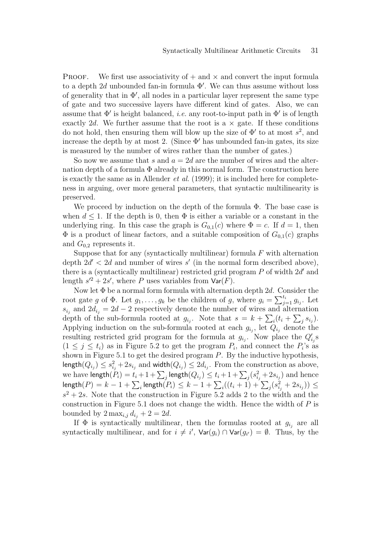**PROOF.** We first use associativity of  $+$  and  $\times$  and convert the input formula to a depth  $2d$  unbounded fan-in formula  $\Phi'$ . We can thus assume without loss of generality that in  $\Phi'$ , all nodes in a particular layer represent the same type of gate and two successive layers have different kind of gates. Also, we can assume that  $\Phi'$  is height balanced, *i.e.* any root-to-input path in  $\Phi'$  is of length exactly 2d. We further assume that the root is a  $\times$  gate. If these conditions do not hold, then ensuring them will blow up the size of  $\Phi'$  to at most  $s^2$ , and increase the depth by at most 2. (Since  $\Phi'$  has unbounded fan-in gates, its size is measured by the number of wires rather than the number of gates.)

So now we assume that s and  $a = 2d$  are the number of wires and the alternation depth of a formula  $\Phi$  already in this normal form. The construction here is exactly the same as in Allender *et al.* (1999); it is included here for completeness in arguing, over more general parameters, that syntactic multilinearity is preserved.

We proceed by induction on the depth of the formula Φ. The base case is when  $d \leq 1$ . If the depth is 0, then  $\Phi$  is either a variable or a constant in the underlying ring. In this case the graph is  $G_{0,1}(c)$  where  $\Phi = c$ . If  $d = 1$ , then  $\Phi$  is a product of linear factors, and a suitable composition of  $G_{0,1}(c)$  graphs and  $G_{0,2}$  represents it.

Suppose that for any (syntactically multilinear) formula  $F$  with alternation depth  $2d' < 2d$  and number of wires s' (in the normal form described above), there is a (syntactically multilinear) restricted grid program  $P$  of width  $2d'$  and length  $s'^2 + 2s'$ , where P uses variables from  $\text{Var}(F)$ .

Now let  $\Phi$  be a normal form formula with alternation depth 2d. Consider the root gate g of  $\Phi$ . Let  $g_1, \ldots, g_k$  be the children of g, where  $g_i = \sum_{j=1}^{t_i} g_{i_j}$ . Let  $s_{i_j}$  and  $2d_{i_j} = 2d - 2$  respectively denote the number of wires and alternation depth of the sub-formula rooted at  $g_{i_j}$ . Note that  $s = k + \sum_i (t_i + \sum_j s_{i_j})$ . Applying induction on the sub-formula rooted at each  $g_{i_j}$ , let  $Q_{i_j}$  denote the resulting restricted grid program for the formula at  $g_{i_j}$ . Now place the  $Q'_{i_j}$ s  $(1 \leq j \leq t_i)$  as in Figure 5.2 to get the program  $P_i$ , and connect the  $P_i$ 's as shown in Figure 5.1 to get the desired program  $P$ . By the inductive hypothesis,  $\mathsf{length}(Q_{i_j}) \leq s_{i_j}^2 + 2s_{i_j}$  and  $\mathsf{width}(Q_{i_j}) \leq 2d_{i_j}.$  From the construction as above, we have  $\mathsf{length}(P_i) = t_i + 1 + \sum_j \mathsf{length}(Q_{i_j}) \leq t_i + 1 + \sum_j (s_{i_j}^2 + 2s_{i_j})$  and hence  $\mathsf{length}(P) = k-1 + \sum_i \mathsf{length}(P_i) \leq k-1 + \sum_i ((t_i+1) + \sum_j (s_{i_j}^2 + 2s_{i_j})) \leq$  $s^2 + 2s$ . Note that the construction in Figure 5.2 adds 2 to the width and the construction in Figure 5.1 does not change the width. Hence the width of  $P$  is bounded by  $2 \max_{i,j} d_{i,j} + 2 = 2d$ .

If  $\Phi$  is syntactically multilinear, then the formulas rooted at  $g_{i_j}$  are all syntactically multilinear, and for  $i \neq i'$ ,  $\textsf{Var}(g_i) \cap \textsf{Var}(g_{i'}) = \emptyset$ . Thus, by the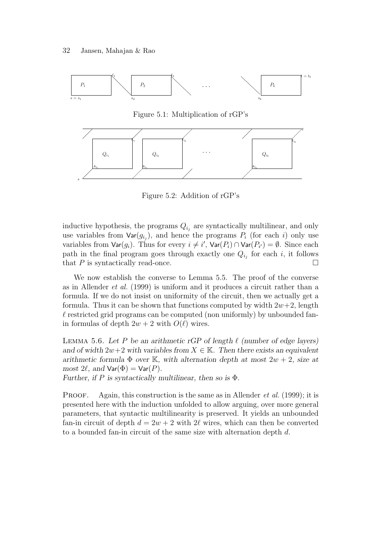

Figure 5.1: Multiplication of rGP's



Figure 5.2: Addition of rGP's

inductive hypothesis, the programs  $Q_{i_j}$  are syntactically multilinear, and only use variables from  $\textsf{Var}(g_{i_j})$ , and hence the programs  $P_i$  (for each i) only use variables from  $\textsf{Var}(g_i)$ . Thus for every  $i \neq i'$ ,  $\textsf{Var}(P_i) \cap \textsf{Var}(P_{i'}) = \emptyset$ . Since each path in the final program goes through exactly one  $Q_{i_j}$  for each i, it follows that  $P$  is syntactically read-once.

We now establish the converse to Lemma 5.5. The proof of the converse as in Allender et al. (1999) is uniform and it produces a circuit rather than a formula. If we do not insist on uniformity of the circuit, then we actually get a formula. Thus it can be shown that functions computed by width  $2w+2$ , length  $\ell$  restricted grid programs can be computed (non uniformly) by unbounded fanin formulas of depth  $2w + 2$  with  $O(\ell)$  wires.

LEMMA 5.6. Let P be an arithmetic rGP of length  $\ell$  (number of edge layers) and of width  $2w+2$  with variables from  $X \in \mathbb{K}$ . Then there exists an equivalent arithmetic formula  $\Phi$  over K, with alternation depth at most  $2w + 2$ , size at most  $2\ell$ , and  $\text{Var}(\Phi) = \text{Var}(P)$ .

Further, if P is syntactically multilinear, then so is  $\Phi$ .

**PROOF.** Again, this construction is the same as in Allender *et al.* (1999); it is presented here with the induction unfolded to allow arguing, over more general parameters, that syntactic multilinearity is preserved. It yields an unbounded fan-in circuit of depth  $d = 2w + 2$  with  $2\ell$  wires, which can then be converted to a bounded fan-in circuit of the same size with alternation depth d.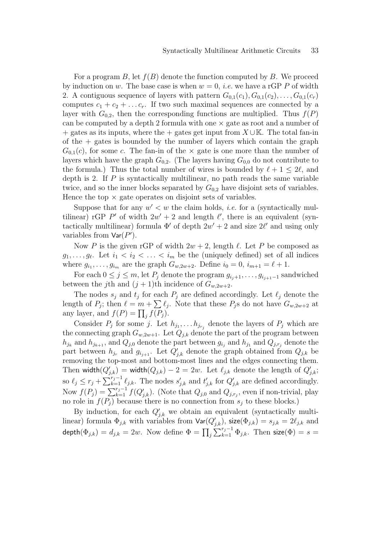For a program B, let  $f(B)$  denote the function computed by B. We proceed by induction on w. The base case is when  $w = 0$ , *i.e.* we have a rGP P of width 2. A contiguous sequence of layers with pattern  $G_{0,1}(c_1), G_{0,1}(c_2), \ldots, G_{0,1}(c_r)$ computes  $c_1 + c_2 + \ldots + c_r$ . If two such maximal sequences are connected by a layer with  $G_{0,2}$ , then the corresponding functions are multiplied. Thus  $f(P)$ can be computed by a depth 2 formula with one  $\times$  gate as root and a number of  $+$  gates as its inputs, where the  $+$  gates get input from  $X \cup K$ . The total fan-in of the  $+$  gates is bounded by the number of layers which contain the graph  $G_{0,1}(c)$ , for some c. The fan-in of the  $\times$  gate is one more than the number of layers which have the graph  $G_{0,2}$ . (The layers having  $G_{0,0}$  do not contribute to the formula.) Thus the total number of wires is bounded by  $\ell + 1 \leq 2\ell$ , and depth is 2. If  $P$  is syntactically multilinear, no path reads the same variable twice, and so the inner blocks separated by  $G_{0,2}$  have disjoint sets of variables. Hence the top  $\times$  gate operates on disjoint sets of variables.

Suppose that for any  $w' < w$  the claim holds, *i.e.* for a (syntactically multilinear) rGP P' of width  $2w' + 2$  and length  $\ell'$ , there is an equivalent (syntactically multilinear) formula  $\Phi'$  of depth  $2w' + 2$  and size  $2\ell'$  and using only variables from  $\textsf{Var}(P')$ .

Now P is the given rGP of width  $2w + 2$ , length  $\ell$ . Let P be composed as  $g_1, \ldots, g_\ell$ . Let  $i_1 < i_2 < \ldots < i_m$  be the (uniquely defined) set of all indices where  $g_{i_1}, \ldots, g_{i_m}$  are the graph  $G_{w, 2w+2}$ . Define  $i_0 = 0, i_{m+1} = \ell + 1$ .

For each  $0 \leq j \leq m$ , let  $P_j$  denote the program  $g_{i_j+1}, \ldots, g_{i_{j+1}-1}$  sandwiched between the j<sup>th</sup> and  $(j + 1)$ <sup>th</sup> incidence of  $G_{w,2w+2}$ .

The nodes  $s_j$  and  $t_j$  for each  $P_j$  are defined accordingly. Let  $\ell_j$  denote the length of  $P_j$ ; then  $\ell = m + \sum \ell_j$ . Note that these  $P_j$ s do not have  $G_{w,2w+2}$  at any layer, and  $f(P) = \prod_j f(P_j)$ .

Consider  $P_j$  for some j. Let  $h_{j_1}, \ldots, h_{j_{r_j}}$  denote the layers of  $P_j$  which are the connecting graph  $G_{w,2w+1}$ . Let  $Q_{j,k}$  denote the part of the program between  $h_{j_k}$  and  $h_{j_{k+1}}$ , and  $Q_{j,0}$  denote the part between  $g_{i_j}$  and  $h_{j_1}$  and  $Q_{j,r_j}$  denote the part between  $h_{j_r}$  and  $g_{i_{j+1}}$ . Let  $Q'_{j,k}$  denote the graph obtained from  $Q_{j,k}$  be removing the top-most and bottom-most lines and the edges connecting them. Then width $(Q'_{j,k})$  = width $(Q_{j,k}) - 2 = 2w$ . Let  $\ell_{j,k}$  denote the length of  $Q'_{j,k}$ ; so  $\ell_j \leq r_j + \sum_{k=1}^{r_j-1} \ell_{j,k}$ . The nodes  $s'_{j,k}$  and  $t'_{j,k}$  for  $Q'_{j,k}$  are defined accordingly. Now  $f(P_j) = \sum_{k=1}^{r_j-1} f(Q'_{j,k})$ . (Note that  $Q_{j,0}$  and  $Q_{j,r_j}$ , even if non-trivial, play no role in  $f(P_i)$  because there is no connection from  $s_i$  to these blocks.)

By induction, for each  $Q'_{j,k}$  we obtain an equivalent (syntactically multilinear) formula  $\Phi_{j,k}$  with variables from  $\textsf{Var}(Q'_{j,k})$ , size $(\Phi_{j,k}) = s_{j,k} = 2\ell_{j,k}$  and  $\mathsf{depth}(\Phi_{j,k}) = d_{j,k} = 2w.$  Now define  $\Phi = \prod_j \sum_{k=1}^{r_j-1} \Phi_{j,k}.$  Then  $\mathsf{size}(\Phi) = s = 0$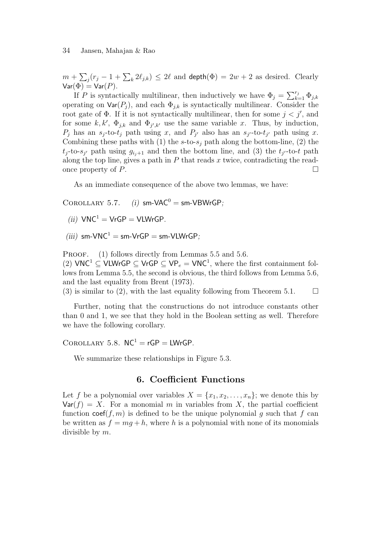$m+\sum_j(r_j-1+\sum_k2\ell_{j,k})\,\leq\,2\ell$  and  $\mathsf{depth}(\Phi)=2w+2$  as desired. Clearly  $Var(\Phi) = Var(P)$ .

If P is syntactically multilinear, then inductively we have  $\Phi_j = \sum_{k=1}^{r_j} \Phi_{j,k}$ operating on  $\text{Var}(P_j)$ , and each  $\Phi_{j,k}$  is syntactically multilinear. Consider the root gate of  $\Phi$ . If it is not syntactically multilinear, then for some  $j < j'$ , and for some  $k, k', \Phi_{j,k}$  and  $\Phi_{j',k'}$  use the same variable x. Thus, by induction,  $P_j$  has an  $s_j$ -to- $t_j$  path using x, and  $P_{j'}$  also has an  $s_{j'}$ -to- $t_{j'}$  path using x. Combining these paths with (1) the s-to-s<sub>j</sub> path along the bottom-line, (2) the  $t_j$ -to-s<sub>j'</sub> path using  $g_{i_j+1}$  and then the bottom line, and (3) the  $t_{j'}$ -to-t path along the top line, gives a path in  $P$  that reads  $x$  twice, contradicting the readonce property of  $P$ .

As an immediate consequence of the above two lemmas, we have:

COROLLARY 5.7. (i) sm-VAC<sup>0</sup> = sm-VBWrGP;

(ii)  $VNC^1 = VrGP = VLWrGP$ .

(iii)  $sm\text{-}VNC^1 = sm\text{-}VrGP = sm\text{-}VIWrGP$ .

PROOF. (1) follows directly from Lemmas 5.5 and 5.6.

(2)  $VNC^1 \subseteq VLWrGP \subseteq VrGP \subseteq VP_e = VNC^1$ , where the first containment follows from Lemma 5.5, the second is obvious, the third follows from Lemma 5.6, and the last equality from Brent (1973).

(3) is similar to (2), with the last equality following from Theorem 5.1.  $\Box$ 

Further, noting that the constructions do not introduce constants other than 0 and 1, we see that they hold in the Boolean setting as well. Therefore we have the following corollary.

 $COROLLARY 5.8. NC<sup>1</sup> = rGP = LWrGP.$ 

We summarize these relationships in Figure 5.3.

#### 6. Coefficient Functions

Let f be a polynomial over variables  $X = \{x_1, x_2, \ldots, x_n\}$ ; we denote this by  $Var(f) = X$ . For a monomial m in variables from X, the partial coefficient function  $\text{coef}(f, m)$  is defined to be the unique polynomial q such that f can be written as  $f = mg + h$ , where h is a polynomial with none of its monomials divisible by m.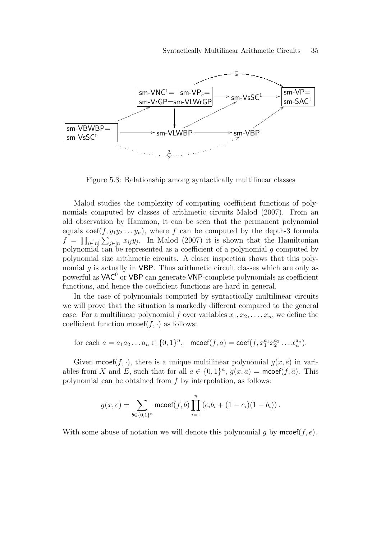

Figure 5.3: Relationship among syntactically multilinear classes

Malod studies the complexity of computing coefficient functions of polynomials computed by classes of arithmetic circuits Malod (2007). From an old observation by Hammon, it can be seen that the permanent polynomial equals  $\text{coef}(f, y_1y_2 \ldots y_n)$ , where f can be computed by the depth-3 formula  $f = \prod_{i \in [n]} \sum_{j \in [n]} x_{ij} y_j$ . In Malod (2007) it is shown that the Hamiltonian polynomial can be represented as a coefficient of a polynomial  $g$  computed by polynomial size arithmetic circuits. A closer inspection shows that this polynomial  $g$  is actually in VBP. Thus arithmetic circuit classes which are only as powerful as  $\mathsf{VAC}^0$  or  $\mathsf{VBP}$  can generate  $\mathsf{VNP\text{-}complete}$  polynomials as coefficient functions, and hence the coefficient functions are hard in general.

In the case of polynomials computed by syntactically multilinear circuits we will prove that the situation is markedly different compared to the general case. For a multilinear polynomial f over variables  $x_1, x_2, \ldots, x_n$ , we define the coefficient function  $\mathsf{mcoeff}(f, \cdot)$  as follows:

for each 
$$
a = a_1 a_2 ... a_n \in \{0, 1\}^n
$$
,  $\text{mcoeff}(f, a) = \text{coeff}(f, x_1^{a_1} x_2^{a_2} ... x_n^{a_n})$ .

Given mcoef(f, ·), there is a unique multilinear polynomial  $q(x, e)$  in variables from X and E, such that for all  $a \in \{0,1\}^n$ ,  $g(x,a) = \text{mcoef}(f, a)$ . This polynomial can be obtained from f by interpolation, as follows:

$$
g(x,e) = \sum_{b \in \{0,1\}^n} \text{mcoef}(f,b) \prod_{i=1}^n \left(e_i b_i + (1-e_i)(1-b_i)\right).
$$

With some abuse of notation we will denote this polynomial q by  $\mathsf{mcoef}(f, e)$ .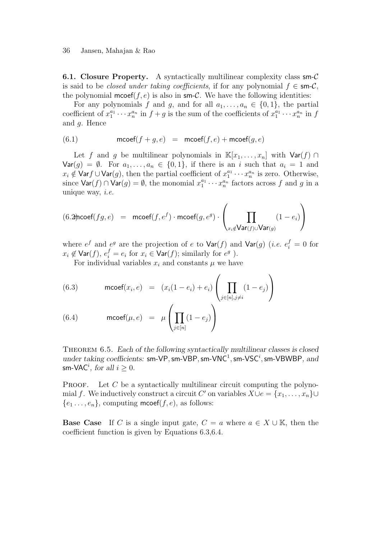36 Jansen, Mahajan & Rao

**6.1. Closure Property.** A syntactically multilinear complexity class sm- $\mathcal{C}$ is said to be *closed under taking coefficients*, if for any polynomial  $f \in \mathsf{sm-}\mathcal{C}$ , the polynomial mcoef( $f, e$ ) is also in sm-C. We have the following identities:

For any polynomials f and g, and for all  $a_1, \ldots, a_n \in \{0, 1\}$ , the partial coefficient of  $x_1^{a_1} \cdots x_n^{a_n}$  in  $f + g$  is the sum of the coefficients of  $x_1^{a_1} \cdots x_n^{a_n}$  in f and g. Hence

$$
(6.1) \qquad \qquad \mathsf{mcoeff}(f+g,e) \ = \ \mathsf{mcoeff}(f,e) + \mathsf{mcoeff}(g,e)
$$

Let f and g be multilinear polynomials in  $\mathbb{K}[x_1, \ldots, x_n]$  with  $\mathsf{Var}(f) \cap$  $\textsf{Var}(g) = \emptyset$ . For  $a_1, \ldots, a_n \in \{0, 1\}$ , if there is an i such that  $a_i = 1$  and  $x_i \notin \textsf{Var}(g)$ , then the partial coefficient of  $x_1^{a_1} \cdots x_n^{a_n}$  is zero. Otherwise, since  $\textsf{Var}(f) \cap \textsf{Var}(g) = \emptyset$ , the monomial  $x_1^{a_1} \cdots x_n^{a_n}$  factors across f and g in a unique way,  $i.e.$ 

$$
(6.2)\text{rocef}(fg,e) = \text{mcoef}(f,e^f) \cdot \text{mcoef}(g,e^g) \cdot \left(\prod_{x_i \notin \text{Var}(f) \cup \text{Var}(g)} (1-e_i)\right)
$$

where  $e^f$  and  $e^g$  are the projection of e to  $\text{Var}(f)$  and  $\text{Var}(g)$  (*i.e.*  $e_i^f = 0$  for  $x_i \not\in \textsf{Var}(f), e_i^f = e_i \text{ for } x_i \in \textsf{Var}(f); \text{ similarly for } e^g$ ).

For individual variables  $x_i$  and constants  $\mu$  we have

(6.3) 
$$
\text{mcoef}(x_i, e) = (x_i(1 - e_i) + e_i) \left( \prod_{j \in [n], j \neq i} (1 - e_j) \right)
$$

(6.4) 
$$
\operatorname{mcoef}(\mu, e) = \mu \left( \prod_{j \in [n]} (1 - e_j) \right)
$$

THEOREM 6.5. Each of the following syntactically multilinear classes is closed under taking coefficients: sm-VP, sm-VBP, sm-VNC<sup>1</sup>, sm-VSC<sup>i</sup>, sm-VBWBP, and sm-VAC<sup>*i*</sup>, for all  $i \geq 0$ .

**PROOF.** Let C be a syntactically multilinear circuit computing the polynomial f. We inductively construct a circuit  $C'$  on variables  $X \cup e = \{x_1, \ldots, x_n\} \cup$  ${e_1 \dots, e_n}$ , computing mcoef(f, e), as follows:

**Base Case** If C is a single input gate,  $C = a$  where  $a \in X \cup \mathbb{K}$ , then the coefficient function is given by Equations 6.3,6.4.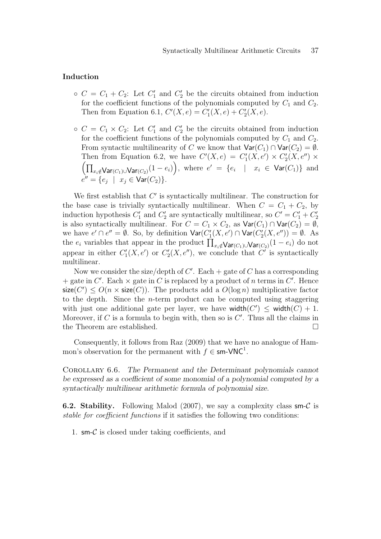#### Induction

- $\circ$   $C = C_1 + C_2$ : Let  $C'_1$  and  $C'_2$  be the circuits obtained from induction for the coefficient functions of the polynomials computed by  $C_1$  and  $C_2$ . Then from Equation 6.1,  $C'(X, e) = C'_1(X, e) + C'_2(X, e)$ .
- $\circ$   $C = C_1 \times C_2$ : Let  $C'_1$  and  $C'_2$  be the circuits obtained from induction for the coefficient functions of the polynomials computed by  $C_1$  and  $C_2$ . From syntactic multilinearity of C we know that  $\text{Var}(C_1) \cap \text{Var}(C_2) = \emptyset$ . Then from Equation 6.2, we have  $C'(X, e) = C'_1(X, e') \times C'_2(X, e'') \times C'_1(X, e)$  $\left(\prod_{x_i\notin \textsf{Var}(C_1)\cup \textsf{Var}(C_2)}(1-e_i)\right)$ , where  $e' = \{e_i \mid x_i \in \textsf{Var}(C_1)\}\$  and  $e'' = \{e_j \; | \; x_j \in \text{Var}(C_2)\}.$

We first establish that  $C'$  is syntactically multilinear. The construction for the base case is trivially syntactically multilinear. When  $C = C_1 + C_2$ , by induction hypothesis  $C'_1$  and  $C'_2$  are syntactically multilinear, so  $C' = C'_1 + C'_2$ is also syntactically multilinear. For  $C = C_1 \times C_2$ , as  $\text{Var}(C_1) \cap \text{Var}(C_2) = \emptyset$ , we have  $e' \cap e'' = \emptyset$ . So, by definition  $\text{Var}(C_1'(X, e') \cap \text{Var}(C_2'(X, e'')) = \emptyset$ . As the  $e_i$  variables that appear in the product  $\prod_{x_i \notin \mathsf{Var}(C_1) \cup \mathsf{Var}(C_2)} (1 - e_i)$  do not appear in either  $C'_1(X, e')$  or  $C'_2(X, e'')$ , we conclude that  $C'$  is syntactically multilinear.

Now we consider the size/depth of  $C'$ . Each  $+$  gate of  $C$  has a corresponding + gate in  $C'$ . Each  $\times$  gate in C is replaced by a product of n terms in C'. Hence  $size(C') \leq O(n \times size(C))$ . The products add a  $O(log n)$  multiplicative factor to the depth. Since the *n*-term product can be computed using staggering with just one additional gate per layer, we have width $(C') \leq$  width $(C) + 1$ . Moreover, if  $C$  is a formula to begin with, then so is  $C'$ . Thus all the claims in the Theorem are established.

Consequently, it follows from Raz (2009) that we have no analogue of Hammon's observation for the permanent with  $f \in \mathsf{sm}\text{-}\mathsf{VNC}^1$ .

Corollary 6.6. The Permanent and the Determinant polynomials cannot be expressed as a coefficient of some monomial of a polynomial computed by a syntactically multilinear arithmetic formula of polynomial size.

**6.2. Stability.** Following Malod (2007), we say a complexity class sm-C is stable for coefficient functions if it satisfies the following two conditions:

1.  $\mathsf{sm}\text{-}\mathcal{C}$  is closed under taking coefficients, and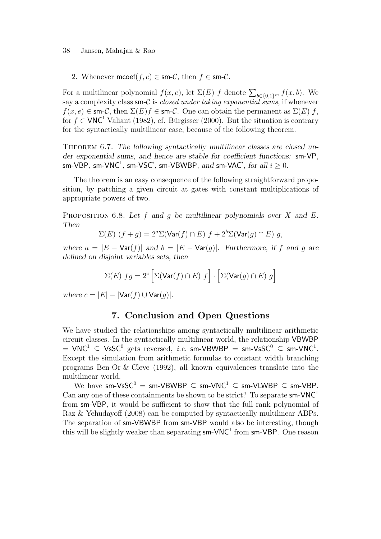#### 38 Jansen, Mahajan & Rao

2. Whenever mcoef(f, e)  $\in$  sm-C, then  $f \in$  sm-C.

For a multilinear polynomial  $f(x, e)$ , let  $\Sigma(E)$  f denote  $\sum_{b \in \{0,1\}^m} f(x, b)$ . We say a complexity class sm-C is *closed under taking exponential sums*, if whenever  $f(x, e) \in \text{sm-}C$ , then  $\Sigma(E)f \in \text{sm-}C$ . One can obtain the permanent as  $\Sigma(E) f$ , for  $f \in VNC^1$  Valiant (1982), cf. Bürgisser (2000). But the situation is contrary for the syntactically multilinear case, because of the following theorem.

THEOREM 6.7. The following syntactically multilinear classes are closed under exponential sums, and hence are stable for coefficient functions: sm-VP, sm-VBP, sm-VNC<sup>1</sup>, sm-VSC<sup>i</sup>, sm-VBWBP, and sm-VAC<sup>i</sup>, for all  $i\geq 0.$ 

The theorem is an easy consequence of the following straightforward proposition, by patching a given circuit at gates with constant multiplications of appropriate powers of two.

PROPOSITION 6.8. Let f and q be multilinear polynomials over X and E. Then

$$
\Sigma(E) (f+g) = 2^a \Sigma(\text{Var}(f) \cap E) f + 2^b \Sigma(\text{Var}(g) \cap E) g,
$$

where  $a = |E - \text{Var}(f)|$  and  $b = |E - \text{Var}(g)|$ . Furthermore, if f and g are defined on disjoint variables sets, then

$$
\Sigma(E) \; fg = 2^c \left[ \Sigma(\text{Var}(f) \cap E) \; f \right] \cdot \left[ \Sigma(\text{Var}(g) \cap E) \; g \right]
$$

where  $c = |E| - |\text{Var}(f) \cup \text{Var}(q)|$ .

#### 7. Conclusion and Open Questions

We have studied the relationships among syntactically multilinear arithmetic circuit classes. In the syntactically multilinear world, the relationship VBWBP  $\mu = \mathsf{VNC}^1 \ \subseteq \ \mathsf{V}\mathsf{sSC}^0 \ \mathsf{gets} \ \ \mathsf{reversed}, \ \ i.e. \ \ \mathsf{sm}\text{-}\mathsf{VBWBP} \ = \ \mathsf{sm}\text{-}\mathsf{V}\mathsf{sSC}^0 \ \subseteq \ \mathsf{sm}\text{-}\mathsf{VNC}^1.$ Except the simulation from arithmetic formulas to constant width branching programs Ben-Or & Cleve (1992), all known equivalences translate into the multilinear world.

We have  $sm\text{-}VsSC^0 = sm\text{-}VBWBP \subseteq sm\text{-}VNC^1 \subseteq sm\text{-}VLWBP \subseteq sm\text{-}VBP$ . Can any one of these containments be shown to be strict? To separate  $sm\text{-}VNC^1$ from sm-VBP, it would be sufficient to show that the full rank polynomial of Raz & Yehudayoff (2008) can be computed by syntactically multilinear ABPs. The separation of sm-VBWBP from sm-VBP would also be interesting, though this will be slightly weaker than separating  $sm\text{-}VNC^1$  from  $sm\text{-}VBP$ . One reason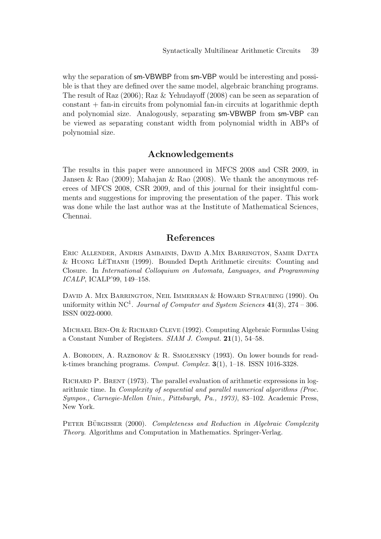why the separation of  $sm-VBWBP$  from  $sm-VBP$  would be interesting and possible is that they are defined over the same model, algebraic branching programs. The result of Raz (2006); Raz & Yehudayoff (2008) can be seen as separation of constant + fan-in circuits from polynomial fan-in circuits at logarithmic depth and polynomial size. Analogously, separating sm-VBWBP from sm-VBP can be viewed as separating constant width from polynomial width in ABPs of polynomial size.

# Acknowledgements

The results in this paper were announced in MFCS 2008 and CSR 2009, in Jansen & Rao (2009); Mahajan & Rao (2008). We thank the anonymous referees of MFCS 2008, CSR 2009, and of this journal for their insightful comments and suggestions for improving the presentation of the paper. This work was done while the last author was at the Institute of Mathematical Sciences, Chennai.

### References

Eric Allender, Andris Ambainis, David A.Mix Barrington, Samir Datta  $&$  HUONG LÊTHANH (1999). Bounded Depth Arithmetic circuits: Counting and Closure. In *International Colloquium on Automata, Languages, and Programming ICALP*, ICALP'99, 149–158.

David A. Mix Barrington, Neil Immerman & Howard Straubing (1990). On uniformity within NC<sup>1</sup> . *Journal of Computer and System Sciences* 41(3), 274 – 306. ISSN 0022-0000.

Michael Ben-Or & Richard Cleve (1992). Computing Algebraic Formulas Using a Constant Number of Registers. *SIAM J. Comput.* 21(1), 54–58.

A. Borodin, A. Razborov & R. Smolensky (1993). On lower bounds for readk-times branching programs. *Comput. Complex.* 3(1), 1–18. ISSN 1016-3328.

Richard P. Brent (1973). The parallel evaluation of arithmetic expressions in logarithmic time. In *Complexity of sequential and parallel numerical algorithms (Proc. Sympos., Carnegie-Mellon Univ., Pittsburgh, Pa., 1973)*, 83–102. Academic Press, New York.

PETER BÜRGISSER (2000). *Completeness and Reduction in Algebraic Complexity Theory*. Algorithms and Computation in Mathematics. Springer-Verlag.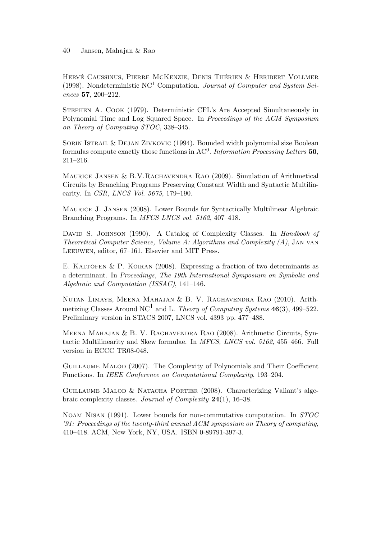HERVÉ CAUSSINUS, PIERRE MCKENZIE, DENIS THÉRIEN & HERIBERT VOLLMER (1998). Nondeterministic NC<sup>1</sup> Computation. *Journal of Computer and System Sciences* 57, 200–212.

Stephen A. Cook (1979). Deterministic CFL's Are Accepted Simultaneously in Polynomial Time and Log Squared Space. In *Proceedings of the ACM Symposium on Theory of Computing STOC*, 338–345.

SORIN ISTRAIL & DEJAN ZIVKOVIC (1994). Bounded width polynomial size Boolean formulas compute exactly those functions in AC<sup>0</sup>. *Information Processing Letters* 50, 211–216.

Maurice Jansen & B.V.Raghavendra Rao (2009). Simulation of Arithmetical Circuits by Branching Programs Preserving Constant Width and Syntactic Multilinearity. In *CSR, LNCS Vol. 5675*, 179–190.

Maurice J. Jansen (2008). Lower Bounds for Syntactically Multilinear Algebraic Branching Programs. In *MFCS LNCS vol. 5162*, 407–418.

David S. Johnson (1990). A Catalog of Complexity Classes. In *Handbook of Theoretical Computer Science, Volume A: Algorithms and Complexity (A)*, Jan van Leeuwen, editor, 67–161. Elsevier and MIT Press.

E. KALTOFEN & P. KOIRAN  $(2008)$ . Expressing a fraction of two determinants as a determinant. In *Proceedings, The 19th International Symposium on Symbolic and Algebraic and Computation (ISSAC)*, 141–146.

Nutan Limaye, Meena Mahajan & B. V. Raghavendra Rao (2010). Arithmetizing Classes Around NC<sup>1</sup> and L. *Theory of Computing Systems* 46(3), 499–522. Preliminary version in STACS 2007, LNCS vol. 4393 pp. 477–488.

Meena Mahajan & B. V. Raghavendra Rao (2008). Arithmetic Circuits, Syntactic Multilinearity and Skew formulae. In *MFCS, LNCS vol. 5162*, 455–466. Full version in ECCC TR08-048.

Guillaume Malod (2007). The Complexity of Polynomials and Their Coefficient Functions. In *IEEE Conference on Computational Complexity*, 193–204.

Guillaume Malod & Natacha Portier (2008). Characterizing Valiant's algebraic complexity classes. *Journal of Complexity* 24(1), 16–38.

Noam Nisan (1991). Lower bounds for non-commutative computation. In *STOC '91: Proceedings of the twenty-third annual ACM symposium on Theory of computing*, 410–418. ACM, New York, NY, USA. ISBN 0-89791-397-3.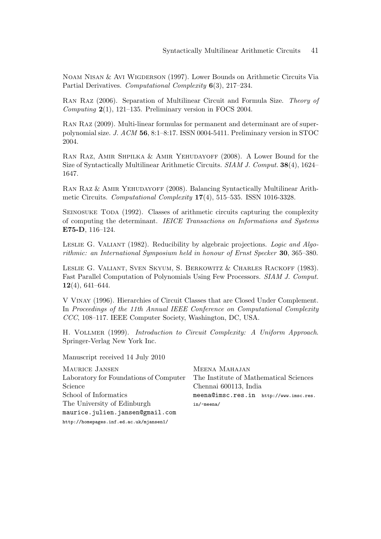Noam Nisan & Avi Wigderson (1997). Lower Bounds on Arithmetic Circuits Via Partial Derivatives. *Computational Complexity* 6(3), 217–234.

Ran Raz (2006). Separation of Multilinear Circuit and Formula Size. *Theory of Computing* 2(1), 121–135. Preliminary version in FOCS 2004.

Ran Raz (2009). Multi-linear formulas for permanent and determinant are of superpolynomial size. *J. ACM* 56, 8:1–8:17. ISSN 0004-5411. Preliminary version in STOC 2004.

Ran Raz, Amir Shpilka & Amir Yehudayoff (2008). A Lower Bound for the Size of Syntactically Multilinear Arithmetic Circuits. *SIAM J. Comput.* 38(4), 1624– 1647.

Ran Raz & Amir Yehudayoff (2008). Balancing Syntactically Multilinear Arithmetic Circuits. *Computational Complexity* 17(4), 515–535. ISSN 1016-3328.

Seinosuke Toda (1992). Classes of arithmetic circuits capturing the complexity of computing the determinant. *IEICE Transactions on Informations and Systems* E75-D, 116–124.

Leslie G. Valiant (1982). Reducibility by algebraic projections. *Logic and Algorithmic: an International Symposium held in honour of Ernst Specker* 30, 365–380.

Leslie G. Valiant, Sven Skyum, S. Berkowitz & Charles Rackoff (1983). Fast Parallel Computation of Polynomials Using Few Processors. *SIAM J. Comput.* 12(4), 641–644.

V Vinay (1996). Hierarchies of Circuit Classes that are Closed Under Complement. In *Proceedings of the 11th Annual IEEE Conference on Computational Complexity CCC*, 108–117. IEEE Computer Society, Washington, DC, USA.

H. Vollmer (1999). *Introduction to Circuit Complexity: A Uniform Approach*. Springer-Verlag New York Inc.

Manuscript received 14 July 2010

| MAURICE JANSEN                          | MEENA MAHAJAN                          |  |  |
|-----------------------------------------|----------------------------------------|--|--|
| Laboratory for Foundations of Computer  | The Institute of Mathematical Sciences |  |  |
| $\rm Science$                           | Chennai 600113, India                  |  |  |
| School of Informatics                   | meena@imsc.res.in http://www.imsc.res. |  |  |
| The University of Edinburgh             | $in/\texttt{m}$ eena/                  |  |  |
| maurice.julien.jansen@gmail.com         |                                        |  |  |
| http://homepages.inf.ed.ac.uk/mjansen1/ |                                        |  |  |